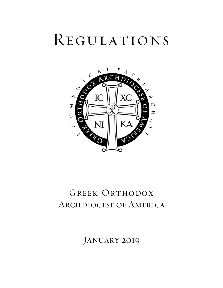# Regulations



# GREEK ORTHODOX Archdiocese of America

JANUARY 2019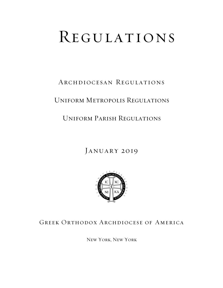# REGULATIONS

# Archdiocesan Regulations

# Uniform Metropolis Regulations

# Uniform Parish Regulations

# JANUARY 2019



# Greek Orthodox Archdiocese of America

New York, New York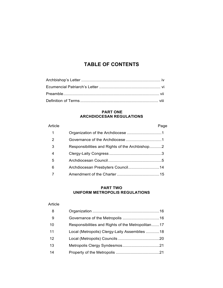# **TABLE OF CONTENTS**

#### **PART ONE ARCHDIOCESAN REGULATIONS**

| Article |                                                | Page |
|---------|------------------------------------------------|------|
| 1       |                                                |      |
| 2       |                                                |      |
| 3       | Responsibilities and Rights of the Archbishop2 |      |
| 4       |                                                |      |
| 5       |                                                |      |
| 6       |                                                |      |
|         |                                                |      |

#### **PART TWO UNIFORM METROPOLIS REGULATIONS**

### Article

| - 8 |                                                   |
|-----|---------------------------------------------------|
| - 9 |                                                   |
| 10  | Responsibilities and Rights of the Metropolitan17 |
| 11  | Local (Metropolis) Clergy-Laity Assemblies 18     |
| 12  |                                                   |
| 13  |                                                   |
| 14  |                                                   |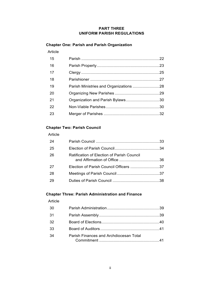#### **PART THREE UNIFORM PARISH REGULATIONS**

# **Chapter One: Parish and Parish Organization**

#### Article

| 15 |                                  |  |
|----|----------------------------------|--|
| 16 |                                  |  |
| 17 |                                  |  |
| 18 |                                  |  |
| 19 |                                  |  |
| 20 |                                  |  |
| 21 | Organization and Parish Bylaws30 |  |
| 22 |                                  |  |
| 23 |                                  |  |

## **Chapter Two: Parish Council**

#### Article

| -24 |                                            |  |
|-----|--------------------------------------------|--|
| -25 |                                            |  |
| -26 | Ratification of Election of Parish Council |  |
| -27 | Election of Parish Council Officers 37     |  |
| -28 |                                            |  |
| -29 |                                            |  |

### **Chapter Three: Parish Administration and Finance**

#### Article

| 30 |                                        |  |
|----|----------------------------------------|--|
| 31 |                                        |  |
| 32 |                                        |  |
| 33 |                                        |  |
| 34 | Parish Finances and Archdiocesan Total |  |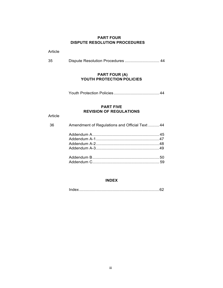#### **PART FOUR DISPUTE RESOLUTION PROCEDURES**

Article

| 35 |  |  |
|----|--|--|
|----|--|--|

#### **PART FOUR (A) YOUTH PROTECTION POLICIES**

Youth Protection Policies......................................... 44

#### **PART FIVE REVISION OF REGULATIONS**

Article

| 36 | Amendment of Regulations and Official Text 44 |  |  |
|----|-----------------------------------------------|--|--|
|    |                                               |  |  |
|    |                                               |  |  |
|    |                                               |  |  |
|    |                                               |  |  |
|    |                                               |  |  |
|    |                                               |  |  |

#### **INDEX**

Index........................................................................62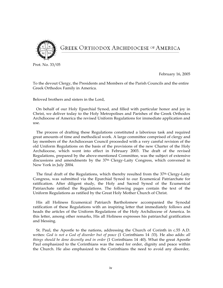

# **GREEK ORTHODOX ARCHDIOCESE OF AMERICA**

Prot. No. 33/05

February 16, 2005

To the devout Clergy, the Presidents and Members of the Parish Councils and the entire Greek Orthodox Family in America.

Beloved brothers and sisters in the Lord,

On behalf of our Holy Eparchial Synod, and filled with particular honor and joy in Christ, we deliver today to the Holy Metropolises and Parishes of the Greek Orthodox Archdiocese of America the revised Uniform Regulations for immediate application and use.

The process of drafting these Regulations constituted a laborious task and required great amounts of time and methodical work. A large committee comprised of clergy and lay members of the Archdiocesan Council proceeded with a very careful revision of the old Uniform Regulations on the basis of the provisions of the new Charter of the Holy Archdiocese, which went into effect in February 2003. The draft of the revised Regulations, prepared by the above-mentioned Committee, was the subject of extensive discussions and amendments by the 37th Clergy-Laity Congress, which convened in New York in July 2004.

The final draft of the Regulations, which thereby resulted from the 37th Clergy-Laity Congress, was submitted via the Eparchial Synod to our Ecumenical Patriarchate for ratification. After diligent study, the Holy and Sacred Synod of the Ecumenical Patriarchate ratified the Regulations. The following pages contain the text of the Uniform Regulations as ratified by the Great Holy Mother Church of Christ.

His all Holiness Ecumenical Patriarch Bartholomew accompanied the Synodal ratification of these Regulations with an inspiring letter that immediately follows and heads the articles of the Uniform Regulations of the Holy Archdiocese of America. In this letter, among other remarks, His all Holiness expresses his patriarchal gratification and blessing.

St. Paul, the Apostle to the nations, addressing the Church of Corinth in c.55 A.D. writes: *God is not a God of disorder but of peace* (1 Corinthians 14 :33). He also adds: *all things should be done decently and in order* (1 Corinthians 14 :40). What the great Apostle Paul emphasized to the Corinthians was the need for order, dignity and peace within the Church. He also emphasized to the Corinthians the need to avoid any disorder,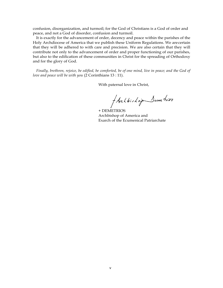confusion, disorganization, and turmoil; for the God of Christians is a God of order and peace, and not a God of disorder, confusion and turmoil.

It is exactly for the advancement of order, decency and peace within the parishes of the Holy Archdiocese of America that we publish these Uniform Regulations. We arecertain that they will be adhered to with care and precision. We are also certain that they will contribute not only to the advancement of order and proper functioning of our parishes, but also to the edification of these communities in Christ for the spreading of Orthodoxy and for the glory of God.

*Finally, brethren, rejoice, be edified, be comforted, be of one mind, live in peace; and the God of love and peace will be with you* (2 Corinthians 13 : 11).

With paternal love in Christ,

f Archbishop Sumetrios

+ DEMETRIOS Archbishop of America and Exarch of the Ecumenical Patriarchate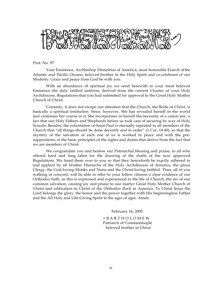

Prot. No. 97

Your Eminence, Archbishop Demetrios of America, most honorable Exarch ofthe Atlantic and Pacific Oceans, beloved brother in the Holy Spirit and co-celebrant of our Modesty: Grace and peace from God be with you.

With an abundance of spiritual joy we send herewith to your most beloved Eminence the duly ratified uniform, derived from the current Charter of your Holy Archdiocese, Regulations that you had submitted for approval to the Great Holy Mother Church of Christ.

Certainly, it does not escape our attention that the Church, the Bride of Christ, is basically a spiritual institution. Since, however, She has revealed herself in the world and continues her course in it, She incorporates in herself the necessity of a canon law, a fact that our Holy Fathers and Shepherds before us took care of securing by way of Holy Synods. Besides, the exhortation of Saint Paul is eternally repeated to all members of the Church that "all things should be done decently and in order" (1 Cor. 14:40), so that the mystery of the salvation of each one of us is worked in peace and with the presuppositions of the basic principles of the rights and duties that derive from the fact that we are members of Christ.

We congratulate you and bestow our Patriarchal blessing and praise, to all who offered hard and long labor for the drawing of the drafts of the now approved Regulations. We hand them over to you so that they henceforth be exactly adhered to and applied by all brother Hierarchs of the Holy Archdiocese of America, the pious Clergy, the God-loving Monks and Nuns and the Christ-loving faithful. Thus, all of you walking in concord, will be able to offer to your fellow citizens a clear evidence of our Orthodox faith, as this is expressed and experienced in the life of Church, the arc of our common salvation, causing joy and praise to our martyr Great Holy Mother Church of Christ and edification in Christ of the Orthodox flock in America. To Christ Jesus the Lord belongs the glory, the honor and the power together with His beginningless Father and the All Holy and Life-Giving Spirit to the ages of ages. Amen.

February 16, 2005

+ B A R T H O L O M E W Patriarch of Constantinople beloved brother in Christ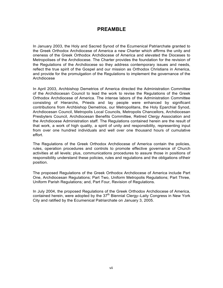# **PREAMBLE**

In January 2003, the Holy and Sacred Synod of the Ecumenical Patriarchate granted to the Greek Orthodox Archdiocese of America a new Charter which affirms the unity and oneness of the Greek Orthodox Archdiocese of America and elevated the Dioceses to Metropolises of the Archdiocese. The Charter provides the foundation for the revision of the Regulations of the Archdiocese so they address contemporary issues and needs, reflect the true spirit of the Gospel and our mission as Orthodox Christians in America, and provide for the promulgation of the Regulations to implement the governance of the Archdiocese

In April 2003, Archbishop Demetrios of America directed the Administration Committee of the Archdiocesan Council to lead the work to revise the Regulations of the Greek Orthodox Archdiocese of America. The intense labors of the Administration Committee consisting of Hierarchs, Priests and lay people were enhanced by significant contributions from Archbishop Demetrios, our Metropolitans, the Holy Eparchial Synod, Archdiocesan Council, Metropolis Local Councils, Metropolis Chancellors, Archdiocesan Presbyters Council, Archdiocesan Benefits Committee, Retired Clergy Association and the Archdiocese Administration staff. The Regulations contained herein are the result of that work, a work of high quality, a spirit of unity and responsibility, representing input from over one hundred individuals and well over one thousand hours of cumulative effort.

The Regulations of the Greek Orthodox Archdiocese of America contain the policies, rules, operation procedures and controls to promote effective governance of Church activities at all levels; plus, communications procedures to assure those in positions of responsibility understand these policies, rules and regulations and the obligations oftheir position.

The proposed Regulations of the Greek Orthodox Archdiocese of America include Part One, Archdiocesan Regulations; Part Two, Uniform Metropolis Regulations; Part Three, Uniform Parish Regulations; and, Part Four, Revision of Regulations.

In July 2004, the proposed Regulations of the Greek Orthodox Archdiocese of America, contained herein, were adopted by the 37<sup>th</sup> Biennial Clergy–Laity Congress in New York City and ratified by the Ecumenical Patriarchate on January 3, 2005.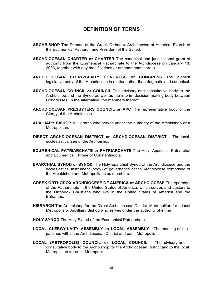# **DEFINITION OF TERMS**

- **ARCHBISHOP** The Primate of the Greek Orthodox Archdiocese of America, Exarch of the Ecumenical Patriarch and President of the Synod.
- **ARCHDIOCESAN CHARTER or CHARTER** The canonical and jurisdictional grant of authority from the Ecumenical Patriarchate to the Archdiocese on January 18, 2003, together with any modifications or amendments thereto.
- **ARCHDIOCESAN CLERGY-LAITY CONGRESS or CONGRESS** The highest legislative body of the Archdiocese in matters other than dogmatic and canonical.
- **ARCHDIOCESAN COUNCIL or COUNCIL** The advisory and consultative body to the Archbishop and the Synod as well as the interim decision making body between Congresses. In the alternative, the members thereof.
- **ARCHDIOCESAN PRESBYTERS COUNCIL or APC** The representative body of the Clergy of the Archdiocese.
- **AUXILIARY BISHOP** A Hierarch who serves under the authority of the Archbishop or a Metropolitan.
- **DIRECT ARCHDIOCESAN DISTRICT or ARCHDIOCESAN DISTRICT** The local ecclesiastical see of the Archbishop.
- **ECUMENICAL PATRIARCHATE or PATRIARCHATE** The Holy, Apostolic, Patriarchal and Ecumenical Throne of Constantinople.
- **EPARCHIAL SYNOD or SYNOD** The Holy Eparchial Synod of the Archdiocese and the ecclesiastical instrument (body) of governance of the Archdiocese comprised of the Archbishop and Metropolitans as members.
- **GREEK ORTHODOX ARCHDIOCESE OF AMERICA or ARCHDIOCESE** The eparchy of the Patriarchate in the United States of America, which serves and pastors to the Orthodox Christians who live in the United States of America and the Bahamas.
- **HIERARCH** The Archbishop for the Direct Archdiocesan District, Metropolitan for a local Metropolis or Auxilliary Bishop who serves under the authority of either.
- **HOLY SYNOD** The Holy Synod of the Ecumenical Patriarchate.
- **LOCAL CLERGY-LAITY ASSEMBLY or LOCAL ASSEMBLY** The meeting of the parishes within the Archdiocesan District and each Metropolis.
- **LOCAL (METROPOLIS) COUNCIL or LOCAL COUNCIL** The advisory and consultative body to the Archbishop for the Archdiocesan District and to the local Metropolitan for each Metropolis.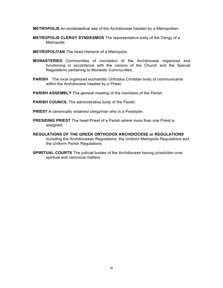**METROPOLIS** An ecclesiastical see of the Archdiocese headed by a Metropolitan.

- **METROPOLIS CLERGY SYNDESMOS** The representative body of the Clergy of a Metropolis.
- **METROPOLITAN** The head Hierarch of a Metropolis.
- **MONASTERIES** Communities of monastics of the Archdiocese organized and functioning in accordance with the canons of the Church and the Special Regulations pertaining to Monastic Communities.
- **PARISH** The local organized eucharistic Orthodox Christian body of communicants within the Archdiocese headed by a Priest.
- **PARISH ASSEMBLY** The general meeting of the members of the Parish.
- **PARISH COUNCIL** The administrative body of the Parish.
- **PRIEST** A canonically ordained clergyman who is a Presbyter.
- **PRESIDING PRIEST** The head Priest of a Parish where more than one Priest is assigned.
- **REGULATIONS OF THE GREEK ORTHODOX ARCHDIOCESE or REGULATIONS** Including the Archdiocesan Regulations, the Uniform Metropolis Regulations and the Uniform Parish Regulations.
- **SPIRITUAL COURTS** The judicial bodies of the Archdiocese having jurisdiction over spiritual and canonical matters.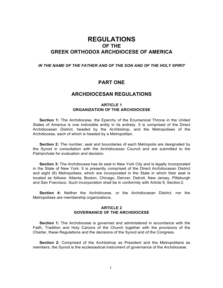# **REGULATIONS OF THE GREEK ORTHODOX ARCHDIOCESE OF AMERICA**

#### *IN THE NAME OF THE FATHER AND OF THE SON AND OF THE HOLY SPIRIT*

# **PART ONE**

## **ARCHDIOCESAN REGULATIONS**

#### **ARTICLE 1 ORGANIZATION OF THE ARCHDIOCESE**

**Section 1:** The Archdiocese, the Eparchy of the Ecumenical Throne in the United States of America is one indivisible entity in its entirety. It is comprised of the Direct Archdiocesan District, headed by the Archbishop, and the Metropolises of the Archdiocese, each of which is headed by a Metropolitan.

**Section 2:** The number, seat and boundaries of each Metropolis are designated by the Synod in consultation with the Archdiocesan Council and are submitted to the Patriarchate for evaluation and decision.

**Section 3:** The Archdiocese has its seat in New York City and is legally incorporated in the State of New York. It is presently comprised of the Direct Archdiocesan District and eight (8) Metropolises, which are incorporated in the State in which their seat is located as follows: Atlanta, Boston, Chicago, Denver, Detroit, New Jersey, Pittsburgh and San Francisco. Such incorporation shall be in conformity with Article 9, Section 2.

**Section 4:** Neither the Archdiocese, or the Archdiocesan District, nor the Metropolises are membership organizations.

#### **ARTICLE 2 GOVERNANCE OF THE ARCHDIOCESE**

**Section 1:** The Archdiocese is governed and administered in accordance with the Faith, Tradition and Holy Canons of the Church together with the provisions of the Charter, these Regulations and the decisions of the Synod and of the Congress.

**Section 2:** Comprised of the Archbishop as President and the Metropolitans as members, the Synod is the ecclesiastical instrument of governance of the Archdiocese.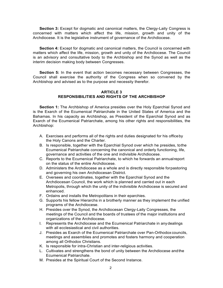**Section 3:** Except for dogmatic and canonical matters, the Clergy-Laity Congress is concerned with matters which affect the life, mission, growth and unity of the Archdiocese. It is the legislative instrument of governance of the Archdiocese.

**Section 4:** Except for dogmatic and canonical matters, the Council is concerned with matters which affect the life, mission, growth and unity of the Archdiocese. The Council is an advisory and consultative body to the Archbishop and the Synod as well as the interim decision making body between Congresses.

**Section 5:** In the event that action becomes necessary between Congresses, the Council shall exercise the authority of the Congress when so convened by the Archbishop and advised as to the purpose and necessity therefor.

#### **ARTICLE 3 RESPONSIBILITIES AND RIGHTS OF THE ARCHBISHOP**

**Section 1:** The Archbishop of America presides over the Holy Eparchial Synod and is the Exarch of the Ecumenical Patriarchate in the United States of America and the Bahamas. In his capacity as Archbishop, as President of the Eparchial Synod and as Exarch of the Ecumenical Patriarchate, among his other rights and responsibilities, the Archbishop:

- A. Exercises and performs all of the rights and duties designated for his officeby the Holy Canons and the Charter.
- B. Is responsible, together with the Eparchial Synod over which he presides, tothe Ecumenical Patriarchate concerning the canonical and orderly functioning, life, governance and activities of the one and indivisible Archdiocese.
- C. Reports to the Ecumenical Patriarchate, to which he forwards an annualreport on the status of the entire Archdiocese.
- D. Administers the Archdiocese as a whole and is directly responsible forpastoring and governing his own Archdiocesan District.
- E. Oversees and coordinates, together with the Eparchial Synod and the Archdiocesan Council, the work which is planned and carried out in each Metropolis, through which the unity of the indivisible Archdiocese is secured and enhanced.
- F. Ordains and installs the Metropolitans in their eparchies.
- G. Supports his fellow Hierarchs in a brotherly manner as they implement the unified programs of the Archdiocese.
- H. Presides over the Synod, the Archdiocesan Clergy-Laity Congresses, the meetings of the Council and the boards of trustees of the major institutions and organizations of the Archdiocese.
- I. Represents the Archdiocese and the Ecumenical Patriarchate in anydealings with all ecclesiastical and civil authorities.
- J. Presides as Exarch of the Ecumenical Patriarchate over Pan-Orthodoxcouncils, meetings and assemblies and promotes and fosters harmony and cooperation among all Orthodox Christians.
- K. Is responsible for intra-Christian and inter-religious activities.
- L. Cultivates and strengthens the bond of unity between the Archdiocese andthe Ecumenical Patriarchate.
- M. Presides at the Spiritual Court of the Second Instance.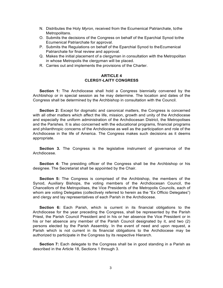- N. Distributes the Holy *Myron,* received from the Ecumenical Patriarchate, tothe Metropolitans.
- O. Submits the decisions of the Congress on behalf of the Eparchial Synod tothe Ecumenical Patriarchate for approval.
- P. Submits the Regulations on behalf of the Eparchial Synod to theEcumenical Patriarchate for final review and approval.
- Q. Makes the initial placement of a clergyman in consultation with the Metropolitan in whose Metropolis the clergyman will be placed.
- R. Carries out and implements the provisions of the Charter.

#### **ARTICLE 4 CLERGY-LAITY CONGRESS**

**Section 1:** The Archdiocese shall hold a Congress biennially convened by the Archbishop or in special session as he may determine. The location and dates of the Congress shall be determined by the Archbishop in consultation with the Council.

**Section 2:** Except for dogmatic and canonical matters, the Congress is concerned with all other matters which affect the life, mission, growth and unity of the Archdiocese and especially the uniform administration of the Archdiocesan District, the Metropolises and the Parishes. It is also concerned with the educational programs, financial programs and philanthropic concerns of the Archdiocese as well as the participation and role of the Archdiocese in the life of America. The Congress makes such decisions as it deems appropriate.

**Section 3.** The Congress is the legislative instrument of governance of the Archdiocese.

**Section 4:** The presiding officer of the Congress shall be the Archbishop or his designee. The Secretariat shall be appointed by the Chair.

**Section 5:** The Congress is comprised of the Archbishop, the members of the Synod, Auxiliary Bishops, the voting members of the Archdiocesan Council, the Chancellors of the Metropolises, the Vice Presidents of the Metropolis Councils, each of whom are voting Delegates (collectively referred to herein as the "Ex Officio Delegates") and clergy and lay representatives of each Parish in the Archdiocese.

**Section 6:** Each Parish, which is current in its financial obligations to the Archdiocese for the year preceding the Congress, shall be represented by the Parish Priest, the Parish Council President and in his or her absence the Vice President or in his or her absence any member of the Parish Council designated by it, and two (2) persons elected by the Parish Assembly. In the event of need and upon request, a Parish which is not current in its financial obligations to the Archdiocese may be authorized to participate in the Congress by its respective Hierarch.

**Section 7:** Each delegate to the Congress shall be in good standing in a Parish as described in the Article 18, Sections 1 through 3.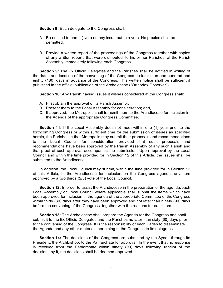**Section 8:** Each delegate to the Congress shall:

- A. Be entitled to one (1) vote on any issue put to a vote. No proxies shall be permitted.
- B. Provide a written report of the proceedings of the Congress together with copies of any written reports that were distributed, to his or her Parishes, at the Parish Assembly immediately following each Congress.

**Section 9:** The Ex Officio Delegates and the Parishes shall be notified in writing of the dates and location of the convening of the Congress no later than one hundred and eighty (180) days in advance of the Congress. This written notice shall be sufficient if published in the official publication of the Archdiocese ("Orthodox Observer").

**Section 10:** Any Parish having issues it wishes considered at the Congress shall:

- A. First obtain the approval of its Parish Assembly;
- B. Present them to the Local Assembly for consideration; and,
- C. If approved, the Metropolis shall transmit them to the Archdiocese for inclusion in the Agenda of the appropriate Congress Committee.

**Section 11:** If the Local Assembly does not meet within one (1) year prior to the forthcoming Congress or within sufficient time for the submission of issues as specified herein, the Parishes in that Metropolis may submit their proposals and recommendations to the Local Council for consideration provided that such proposals and recommendations have been approved by the Parish Assembly of any such Parish and that proof of such approval accompanies the submission. Upon approval by the Local Council and within the time provided for in Section 12 of this Article, the issues shall be submitted to the Archdiocese.

In addition, the Local Council may submit, within the time provided for in Section 12 of this Article, to the Archdiocese for inclusion on the Congress agenda, any item approved by a two thirds (2/3) vote of the Local Council.

**Section 12:** In order to assist the Archdiocese in the preparation of the agenda, each Local Assembly or Local Council where applicable shall submit the items which have been approved for inclusion in the agenda of the appropriate Committee of the Congress within thirty (30) days after they have been approved and not later than ninety (90) days before the convening of the Congress, together with the reasons for each item.

**Section 13:** The Archdiocese shall prepare the Agenda for the Congress and shall submit it to the Ex Officio Delegates and the Parishes no later than sixty (60) days prior to the convening of the Congress. It is the responsibility of each Parish to disseminate the Agenda and any other materials pertaining to the Congress to its delegates.

**Section 14:** The decisions of the Congress are submitted by the Synod through its President, the Archbishop, to the Patriarchate for approval. In the event that noresponse is received from the Patriarchate within ninety (90) days following receipt of the decisions by it, the decisions shall be deemed approved.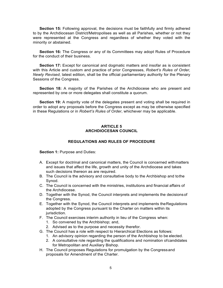**Section 15:** Following approval, the decisions must be faithfully and firmly adhered to by the Archdiocesan District/Metropolises as well as all Parishes, whether or not they were represented at the Congress and regardless of whether they voted with the minority or abstained.

**Section 16:** The Congress or any of its Committees may adopt Rules of Procedure for the conduct of their business.

**Section 17:** Except for canonical and dogmatic matters and insofar as is consistent with this Article and custom and practice of prior Congresses, *Robert's Rules of Order, Newly Revised*, latest edition, shall be the official parliamentary authority for the Plenary Sessions of the Congress.

**Section 18:** A majority of the Parishes of the Archdiocese who are present and represented by one or more delegates shall constitute a quorum.

**Section 19:** A majority vote of the delegates present and voting shall be required in order to adopt any proposals before the Congress except as may be otherwise specified in these Regulations or in *Robert's Rules of Order*, whichever may be applicable.

#### **ARTICLE 5 ARCHDIOCESAN COUNCIL**

#### **REGULATIONS AND RULES OF PROCEDURE**

**Section 1: Purpose and Duties:** 

- A. Except for doctrinal and canonical matters, the Council is concerned withmatters and issues that affect the life, growth and unity of the Archdiocese and takes such decisions thereon as are required.
- B. The Council is the advisory and consultative body to the Archbishop and tothe Synod.
- C. The Council is concerned with the ministries, institutions and financial affairs of the Archdiocese.
- D. Together with the Synod, the Council interprets and implements the decisionsof the Congress.
- E. Together with the Synod, the Council interprets and implements theRegulations adopted by the Congress pursuant to the Charter on matters within its jurisdiction.
- F. The Council exercises interim authority in lieu of the Congress when:
	- 1. So convened by the Archbishop; and,
	- 2. Advised as to the purpose and necessity therefor.
- G. The Council has a role with respect to Hierarchical Elections as follows:
	- 1. An advisory opinion regarding the person of the Archbishop to be elected.
	- 2. A consultative role regarding the qualifications and nomination ofcandidates for Metropolitan and Auxiliary Bishop.
- H. The Council proposes Regulations for promulgation by the Congressand proposals for Amendment of the Charter.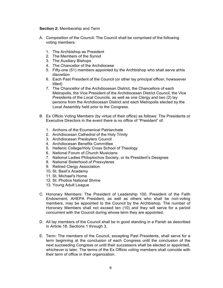#### **Section 2:** Membership and Term

- A. Composition of the Council: The Council shall be comprised of the following voting members:
	- 1. The Archbishop as President
	- 2. The Members of the Synod
	- 3. The Auxiliary Bishops
	- 4. The Chancellor of the Archdiocese
	- 5. Fifty-one (51) members appointed by the Archbishop who shall serve athis discretion
	- 6. Each Past President of the Council (or other lay principal officer, howsoever titled)
	- 7. The Chancellor of the Archdiocesan District, the Chancellors of each Metropolis, the Vice President of the Archdiocesan District Council, the Vice Presidents of the Local Councils, as well as one Clergy and two (2) lay persons from the Archdiocesan District and each Metropolis elected by the Local Assembly held prior to the Congress.
- B. Ex Officio Voting Members (by virtue of their office) as follows: The Presidents or Executive Directors in the event there is no office of "President" of:
	- 1. Archons of the Ecumenical Patriarchate
	- 2. Archdiocesan Cathedral of the Holy Trinity
	- 3. Archdiocesan Presbyters Council
	- 4. Archdiocesan Benefits Committee
	- 5. Hellenic College/Holy Cross School of Theology
	- 6. National Forum of Church Musicians
	- 7. National Ladies Philoptochos Society, or its President's Designee
	- 8. National Sisterhood of Presvyteres
	- 9. Retired Clergy Association
	- 10. St. Basil's Academy
	- 11. St. Michael's Home
	- 12. St. Photios National Shrine
	- 13. Young Adult League
- C. Honorary Members: The President of Leadership 100, President of the Faith Endowment, AHEPA President, as well as others who shall be non-voting members, may be appointed to the Council by the Archbishop. The number of Honorary Members shall not exceed ten (10) and they will serve for a period concurrent with the Council during whose term they are appointed.
- D. All lay members of the Council shall be in good standing in a Parish as described in Article 18, Sections 1 through 3.
- E. Term: The members of the Council, excepting Past Presidents, shall serve for a term beginning at the conclusion of each Congress until the conclusion of the next succeeding Congress or until their successors shall be elected or appointed, whichever is later. The terms of the Ex Officio voting members shall coincide with their term of office in their organization.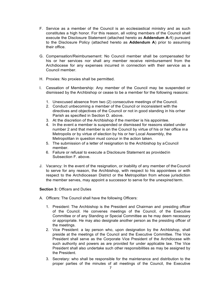- F. Service as a member of the Council is an ecclesiastical ministry and as such constitutes a high honor. For this reason, all voting members of the Council shall execute the Disclosure Statement (attached hereto as **Addendum A-1**) pursuant to the Disclosure Policy (attached hereto as **Addendum A**) prior to assuming their office.
- G. Compensation/Reimbursement: No Council member shall be compensated for his or her services nor shall any member receive reimbursement from the Archdiocese for any expenses incurred in connection with their service as a Council member.
- H. Proxies: No proxies shall be permitted.
- I. Cessation of Membership: Any member of the Council may be suspended or dismissed by the Archbishop or cease to be a member for the following reasons:
	- 1. Unexcused absence from two (2) consecutive meetings of the Council.
	- 2. Conduct unbecoming a member of the Council or inconsistent with the directives and objectives of the Council or not in good standing in his orher Parish as specified in Section D. above.
	- 3. At the discretion of the Archbishop if the member is his appointee.
	- 4. In the event a member is suspended or dismissed for reasons stated under number 2 and that member is on the Council by virtue of his or her office ina Metropolis or by virtue of election by his or her Local Assembly, the Metropolitan in question must concur in the action taken.
	- 5. The submission of a letter of resignation to the Archbishop by aCouncil member.
	- 6. Failure or refusal to execute a Disclosure Statement as providedin Subsection F. above.
- J. Vacancy: In the event of the resignation, or inability of any member of the Council to serve for any reason, the Archbishop, with respect to his appointees or with respect to the Archdiocesan District or the Metropolitan from whose jurisdiction the member serves, may appoint a successor to serve for the unexpired term.

#### **Section 3:** Officers and Duties

- A. Officers: The Council shall have the following Officers:
	- 1. President: The Archbishop is the President and Chairman and presiding officer of the Council. He convenes meetings of the Council, of the Executive Committee or of any Standing or Special Committee as he may deem necessary or appropriate. He may also designate another person as the presiding officer of the meetings.
	- 2. Vice President: a lay person who, upon designation by the Archbishop, shall preside at the meetings of the Council and the Executive Committee. The Vice President shall serve as the Corporate Vice President of the Archdiocese with such authority and powers as are provided for under applicable law. The Vice President shall also undertake such other responsibilities as may be assigned by the President.
	- 3. Secretary: who shall be responsible for the maintenance and distribution to the proper parties of the minutes of all meetings of the Council, the Executive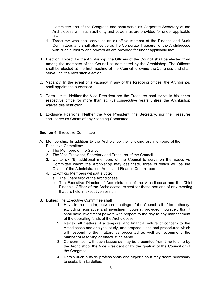Committee and of the Congress and shall serve as Corporate Secretary of the Archdiocese with such authority and powers as are provided for under applicable law.

- 4. Treasurer: who shall serve as an ex-officio member of the Finance and Audit Committees and shall also serve as the Corporate Treasurer of the Archdiocese with such authority and powers as are provided for under applicable law.
- B. Election: Except for the Archbishop, the Officers of the Council shall be elected from among the members of the Council as nominated by the Archbishop. The Officers shall be elected at the first meeting of the Council following the Congress and shall serve until the next such election.
- C. Vacancy: In the event of a vacancy in any of the foregoing offices, the Archbishop shall appoint the successor.
- D. Term Limits: Neither the Vice President nor the Treasurer shall serve in his or her respective office for more than six (6) consecutive years unless the Archbishop waives this restriction.
- E. Exclusive Positions: Neither the Vice President, the Secretary, nor the Treasurer shall serve as Chairs of any Standing Committee.

#### **Section 4:** Executive Committee

- A. Membership: In addition to the Archbishop the following are members of the Executive Committee:
	- 1. The Members of the Synod
	- 2. The Vice President, Secretary and Treasurer of the Council
	- 3. Up to six (6) additional members of the Council to serve on the Executive Committee whom the Archbishop may designate, three of which will be the Chairs of the Administration, Audit, and Finance Committees.
	- 4. Ex-Officio Members without a vote:
		- a. The Chancellor of the Archdiocese
		- b. The Executive Director of Administration of the Archdiocese and the Chief Financial Officer of the Archdiocese, except for those portions of any meeting that are held in executive session.
- B. Duties: The Executive Committee shall:
	- 1. Have in the interim, between meetings of the Council, all of its authority, excluding legislative and investment powers; provided, however, that it shall have investment powers with respect to the day to day management of the operating funds of the Archdiocese.
	- 2. Review all matters of a temporal and financial nature of concern to the Archdiocese and analyze, study, and propose plans and procedures which will respond to the matters as presented as well as recommend the manner of resolving or effectuating same.
	- 3. Concern itself with such issues as may be presented from time to time by the Archbishop, the Vice President or by designation of the Council or of the Congress.
	- 4. Retain such outside professionals and experts as it may deem necessary to assist it in its duties.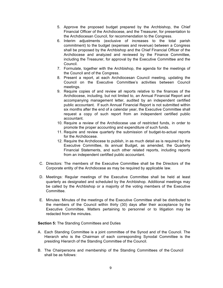- 5. Approve the proposed budget prepared by the Archbishop, the Chief Financial Officer of the Archdiocese, and the Treasurer, for presentation to the Archdiocesan Council, for recommendation to the Congress.
- 6. Interim adjustments (exclusive of increases to the total parish commitment) to the budget (expenses and revenue) between a Congress shall be proposed by the Archbishop and the Chief Financial Officer of the Archdiocese and analyzed and reviewed by the Finance Committee, including the Treasurer, for approval by the Executive Committee and the Council.
- 7. Formulate, together with the Archbishop, the agenda for the meetings of the Council and of the Congress.
- 8. Present a report, at each Archdiocesan Council meeting, updating the Council on the Executive Committee's activities between Council meetings.
- 9. Require copies of and review all reports relative to the finances of the Archdiocese, including, but not limited to, an Annual Financial Report and accompanying management letter, audited by an independent certified public accountant. If such Annual Financial Report is not submitted within six months after the end of a calendar year, the Executive Committee shall request a copy of such report from an independent certified public accountant.
- 10. Require a review of the Archdiocese use of restricted funds, in order to promote the proper accounting and expenditure of such funds.
- 11. Require and review quarterly the submission of budget-to-actual reports for the Archdiocese.
- 12. Require the Archdiocese to publish, in as much detail as is required by the Executive Committee, its annual Budget, as amended, the Quarterly Financial Statements, and such other related reports, including reports from an independent certified public accountant.
- C. Directors: The members of the Executive Committee shall be the Directors of the Corporate entity of the Archdiocese as may be required by applicable law.
- D. Meetings: Regular meetings of the Executive Committee shall be held at least quarterly as designated and scheduled by the Archbishop. Additional meetings may be called by the Archbishop or a majority of the voting members of the Executive Committee.
- E. Minutes: Minutes of the meetings of the Executive Committee shall be distributed to the members of the Council within thirty (30) days after their acceptance by the Executive Committee. Matters pertaining to personnel or to litigation may be redacted from the minutes.

**Section 5:** The Standing Committees and Duties

- A. Each Standing Committee is a joint committee of the Synod and of the Council. The Hierarch who is the Chairman of each corresponding Synodal Committee is the presiding Hierarch of the Standing Committee of the Council.
- B. The Chairpersons and membership of the Standing Committees of the Council shall be as follows: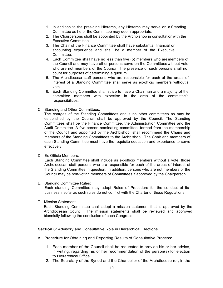- 1. In addition to the presiding Hierarch, any Hierarch may serve on a Standing Committee as he or the Committee may deem appropriate.
- 2. The Chairpersons shall be appointed by the Archbishop in consultationwith the Executive Committee.
- 3. The Chair of the Finance Committee shall have substantial financial or accounting experience and shall be a member of the Executive Committee.
- 4. Each Committee shall have no less than five (5) members who are members of the Council and may have other persons serve on the Committees without vote who are not members of the Council. The presence of such persons shall not count for purposes of determining a quorum.
- 5. The Archdiocese staff persons who are responsible for each of the areas of interest of a Standing Committee shall serve as ex-officio members without a vote.
- 6. Each Standing Committee shall strive to have a Chairman and a majority of the committee members with expertise in the area of the committee's responsibilities.
- C. Standing and Other Committees:

The charges of the Standing Committees and such other committees as may be established by the Council shall be approved by the Council. The Standing Committees shall be the Finance Committee, the Administration Committee and the Audit Committee. A five-person nominating committee, formed from the membership of the Council and appointed by the Archbishop, shall recommend the Chairs and members of the Standing Committees to the Archbishop. The Chair and members of each Standing Committee must have the requisite education and experience to serve effectively.

D. Ex-Officio Members:

Each Standing Committee shall include as ex-officio members without a vote, those Archdiocesan staff persons who are responsible for each of the areas of interest of the Standing Committee in question. In addition, persons who are not members of the Council may be non-voting members of Committees if approved by the Chairperson.

E. Standing Committee Rules:

Each standing Committee may adopt Rules of Procedure for the conduct of its business insofar as such rules do not conflict with the Charter or these Regulations.

F. Mission Statement

Each Standing Committee shall adopt a mission statement that is approved by the Archdiocesan Council. The mission statements shall be reviewed and approved biennially following the conclusion of each Congress.

**Section 6:** Advisory and Consultative Role in Hierarchical Elections

- A. Procedure for Obtaining and Reporting Results of Consultative Process:
	- 1. Each member of the Council shall be requested to provide his or her advice, in writing, regarding his or her recommendation of the person(s) for election to Hierarchical Office.
	- 2. The Secretary of the Synod and the Chancellor of the Archdiocese (or, in the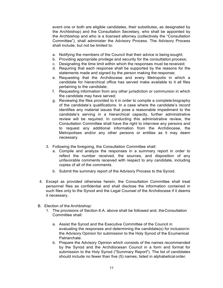event one or both are eligible candidates, their substitutes, as designated by the Archbishop) and the Consultation Secretary, who shall be appointed by the Archbishop and who is a licensed attorney (collectively the "Consultation Committee"), shall administer the Advisory Process. The Advisory Process shall include, but not be limited to:

- a. Notifying the members of the Council that their advice is being sought;
- b. Providing appropriate privilege and security for the consultation process;
- c. Designating the time limit within which the responses must be received;
- d. Requiring that each response shall be supported by the reasons for the statements made and signed by the person making the response;
- e. Requesting that the Archdiocese and every Metropolis in which a candidate for hierarchical office has served make available to it all files pertaining to the candidate;
- f. Requesting information from any other jurisdiction or communion in which the candidate may have served;
- g. Reviewing the files provided to it in order to compile a complete biography of the candidate's qualifications. In a case where the candidate's record identifies any material issues that pose a reasonable impediment to the candidate's serving in a hierarchical capacity, further administrative review will be required. In conducting this administrative review, the Consultation Committee shall have the right to interview any persons and to request any additional information from the Archdiocese, the Metropolises and/or any other persons or entities as it may deem necessary.
- 3. Following the foregoing, the Consultation Committee shall:
	- a. Compile and analyze the responses in a summary report in order to reflect the number received, the sources, and disposition of any unfavorable comments received with respect to any candidate, including copies of all of the comments.
	- b. Submit the summary report of the Advisory Process to the Synod.
- 4. Except as provided otherwise herein, the Consultation Committee shall treat personnel files as confidential and shall disclose the information contained in such files only to the Synod and the Legal Counsel of the Archdiocese if it deems it necessary.
- B. Election of the Archbishop:
	- 1. The provisions of Section 6.A. above shall be followed and, theConsultation Committee shall:
		- a. Assist the Synod and the Executive Committee of the Council in evaluating the responses and determining the candidate(s) for inclusionin the Advisory Opinion for submission to the Holy Synod of the Ecumenical Patriarchate.
		- b. Prepare the Advisory Opinion which consists of the names recommended by the Synod and the Archdiocesan Council in a form and format for submission to the Holy Synod ("Summary Report"). The list of candidates should include no fewer than five (5) names, listed in alphabetical order.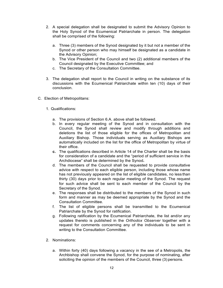- 2. A special delegation shall be designated to submit the Advisory Opinion to the Holy Synod of the Ecumenical Patriarchate in person. The delegation shall be comprised of the following:
	- a. Three (3) members of the Synod designated by it but not a member of the Synod or other person who may himself be designated as a candidate in the Advisory Opinion;
	- b. The Vice President of the Council and two (2) additional members of the Council designated by the Executive Committee; and
	- c. The Secretary of the Consultation Committee.
- 3. The delegation shall report to the Council in writing on the substance of its discussions with the Ecumenical Patriarchate within ten (10) days of their conclusion.
- C. Election of Metropolitans:
	- 1. Qualifications:
		- a. The provisions of Section 6.A. above shall be followed.
		- b. In every regular meeting of the Synod and in consultation with the Council, the Synod shall review and modify through additions and deletions the list of those eligible for the offices of Metropolitan and Auxiliary Bishop. Those individuals serving as Auxiliary Bishops are automatically included on the list for the office of Metropolitan by virtue of their office.
		- **c.** The qualifications described in Article 14 of the Charter shall be the basis for consideration of a candidate and the "period of sufficient service in the Archdiocese" shall be determined by the Synod**.**
		- d. The members of the Council shall be requested to provide consultative advice with respect to each eligible person, including those whose name has not previously appeared on the list of eligible candidates, no less than thirty (30) days prior to each regular meeting of the Synod. The request for such advice shall be sent to each member of the Council by the Secretary of the Synod.
		- e. The responses shall be distributed to the members of the Synod in such form and manner as may be deemed appropriate by the Synod and the Consultation Committee.
		- f. The list of eligible persons shall be transmitted to the Ecumenical Patriarchate by the Synod for ratification.
		- g. Following ratification by the Ecumenical Patriarchate, the list and/or any updates thereto is published in the *Orthodox Observer* together with a request for comments concerning any of the individuals to be sent in writing to the Consultation Committee.
	- 2. Nominations:
		- a. Within forty (40) days following a vacancy in the see of a Metropolis, the Archbishop shall convene the Synod, for the purpose of nominating, after soliciting the opinion of the members of the Council, three (3) persons.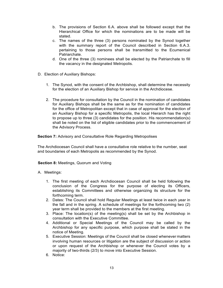- b. The provisions of Section 6.A. above shall be followed except that the Hierarchical Office for which the nominations are to be made will be stated.
- c. The names of the three (3) persons nominated by the Synod together with the summary report of the Council described in Section 6.A.3. pertaining to those persons shall be transmitted to the Ecumenical Patriarchate.
- d. One of the three (3) nominees shall be elected by the Patriarchate to fill the vacancy in the designated Metropolis.
- D. Election of Auxiliary Bishops:
	- 1. The Synod, with the consent of the Archbishop, shall determine the necessity for the election of an Auxiliary Bishop for service in the Archdiocese.
	- 2. The procedure for consultation by the Council in the nomination of candidates for Auxiliary Bishops shall be the same as for the nomination of candidates for the office of Metropolitan except that in case of approval for the election of an Auxiliary Bishop for a specific Metropolis, the local Hierarch has the right to propose up to three (3) candidates for the position. His recommendation(s) shall be noted on the list of eligible candidates prior to the commencement of the Advisory Process.

**Section 7:** Advisory and Consultative Role Regarding Metropolises

The Archdiocesan Council shall have a consultative role relative to the number, seat and boundaries of each Metropolis as recommended by the Synod.

#### **Section 8:** Meetings, Quorum and Voting

#### A. Meetings:

- 1. The first meeting of each Archdiocesan Council shall be held following the conclusion of the Congress for the purpose of electing its Officers, establishing its Committees and otherwise organizing its structure for the forthcoming term.
- 2. Dates: The Council shall hold Regular Meetings at least twice in each year in the fall and in the spring. A schedule of meetings for the forthcoming two (2) year term shall be provided to the members at the first meeting.
- 3. Place: The location(s) of the meeting(s) shall be set by the Archbishop in consultation with the Executive Committee.
- 4. Additional or Special Meetings of the Council may be called by the Archbishop for any specific purpose, which purpose shall be stated in the notice of Meeting.
- 5. Executive Session: Meetings of the Council shall be closed whenever matters involving human resources or litigation are the subject of discussion or action or upon request of the Archbishop or whenever the Council votes by a majority of two-thirds (2/3) to move into Executive Session.
- 6. Notice: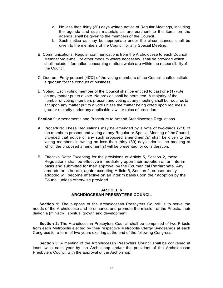- a. No less than thirty (30) days written notice of Regular Meetings, including the agenda and such materials as are pertinent to the items on the agenda, shall be given to the members of the Council.
- b. Such notice as may be appropriate under the circumstances shall be given to the members of the Council for any Special Meeting.
- B. Communications: Regular communications from the Archdiocese to each Council Member via e-mail, or other medium where necessary, shall be provided which shall include information concerning matters which are within the responsibilityof the Council.
- C. Quorum: Forty percent (40%) of the voting members of the Council shallconstitute a quorum for the conduct of business.
- D. Voting: Each voting member of the Council shall be entitled to cast one (1) vote on any matter put to a vote. No proxies shall be permitted. A majority of the number of voting members present and voting at any meeting shall be requiredto act upon any matter put to a vote unless the matter being voted upon requires a greater majority under any applicable laws or rules of procedure.

**Section 9**: Amendments and Procedure to Amend Archdiocesan Regulations

- A. Procedure: These Regulations may be amended by a vote of two-thirds (2/3) of the members present and voting at any Regular or Special Meeting of the Council, provided that notice of any such proposed amendment(s) shall be given to the voting members in writing no less than thirty (30) days prior to the meeting at which the proposed amendment(s) will be presented for consideration.
- B. Effective Date: Excepting for the provisions of Article 5, Section 2, these Regulations shall be effective immediately upon their adoption on an interim basis and submitted for their approval by the Ecumenical Patriarchate. Any amendments hereto, again excepting Article 5, Section 2, subsequently adopted will become effective on an interim basis upon their adoption by the Council unless otherwise provided.

#### **ARTICLE 6 ARCHDIOCESAN PRESBYTERS COUNCIL**

**Section 1:** The purpose of the Archdiocesan Presbyters Council is to serve the needs of the Archdiocese and to enhance and promote the mission of the Priests, their diakonia (ministry), spiritual growth and development.

**Section 2:** The Archdiocesan Presbyters Council shall be comprised of two Priests from each Metropolis elected by their respective Metropolis Clergy Syndesmos at each Congress for a term of two years expiring at the end of the following Congress.

**Section 3:** A meeting of the Archdiocesan Presbyters Council shall be convened at least twice each year by the Archbishop and/or the president of the Archdiocesan Presbyters Council with the approval of the Archbishop.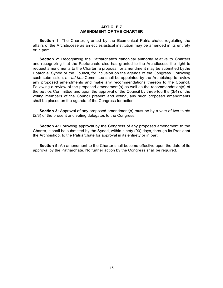#### **ARTICLE 7 AMENDMENT OF THE CHARTER**

**Section 1:** The Charter, granted by the Ecumenical Patriarchate, regulating the affairs of the Archdiocese as an ecclesiastical institution may be amended in its entirety or in part.

**Section 2:** Recognizing the Patriarchate's canonical authority relative to Charters and recognizing that the Patriarchate also has granted to the Archdiocese the right to request amendments to the Charter, a proposal for amendment may be submitted bythe Eparchial Synod or the Council, for inclusion on the agenda of the Congress. Following such submission, an *ad hoc* Committee shall be appointed by the Archbishop to review any proposed amendments and make any recommendations thereon to the Council. Following a review of the proposed amendment(s) as well as the recommendation(s) of the *ad hoc* Committee and upon the approval of the Council by three-fourths (3/4) of the voting members of the Council present and voting, any such proposed amendments shall be placed on the agenda of the Congress for action.

**Section 3:** Approval of any proposed amendment(s) must be by a vote of two-thirds (2/3) of the present and voting delegates to the Congress.

**Section 4:** Following approval by the Congress of any proposed amendment to the Charter, it shall be submitted by the Synod, within ninety (90) days, through its President the Archbishop, to the Patriarchate for approval in its entirety or in part.

**Section 5:** An amendment to the Charter shall become effective upon the date of its approval by the Patriarchate. No further action by the Congress shall be required.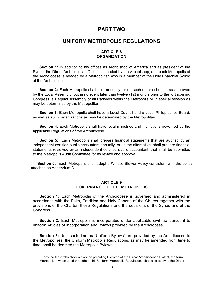## **PART TWO**

## **UNIFORM METROPOLIS REGULATIONS**

#### **ARTICLE 8 ORGANIZATION**

**Section 1:** In addition to his offices as Archbishop of America and as president of the Synod, the Direct Archdiocesan District is headed by the Archbishop, and each Metropolis of the Archdiocese is headed by a Metropolitan who is a member of the Holy Eparchial Synod of the Archdiocese.

**Section 2:** Each Metropolis shall hold annually, or on such other schedule as approved by the Local Assembly, but in no event later than twelve (12) months prior to the forthcoming Congress, a Regular Assembly of all Parishes within the Metropolis or in special session as may be determined by the Metropolitan.

**Section 3:** Each Metropolis shall have a Local Council and a Local Philoptochos Board, as well as such organizations as may be determined by the Metropolitan.

**Section 4:** Each Metropolis shall have local ministries and institutions governed by the applicable Regulations of the Archdiocese.

**Section 5**: Each Metropolis shall prepare financial statements that are audited by an independent certified public accountant annually, or, in the alternative, shall prepare financial statements reviewed by an independent certified public accountant, that shall be submitted to the Metropolis Audit Committee for its review and approval.

 **Section 6:** Each Metropolis shall adopt a Whistle Blower Policy consistent with the policy attached as Addendum C.

#### **ARTICLE 9 GOVERNANCE OF THE METROPOLIS**

**Section 1:** Each Metropolis of the Archdiocese is governed and administered in accordance with the Faith, Tradition and Holy Canons of the Church together with the provisions of the Charter, these Regulations and the decisions of the Synod and of the Congress.

**Section 2:** Each Metropolis is incorporated under applicable civil law pursuant to uniform Articles of Incorporation and Bylaws provided by the Archdiocese.

**Section 3:** Until such time as "Uniform Bylaws" are provided by the Archdiocese to the Metropolises, the Uniform Metropolis Regulations, as may be amended from time to time, shall be deemed the Metropolis Bylaws.

 $<sup>1</sup>$  Because the Archbishop is also the presiding Hierarch of the Direct Archdiocesan District, the term</sup> Metropolitan when used throughout this Uniform Metropolis Regulations shall also apply to the Direct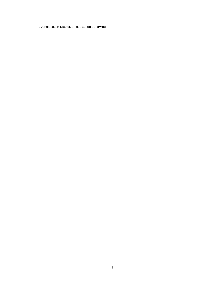Archdiocesan District, unless stated otherwise.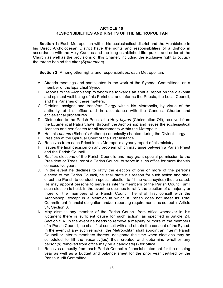#### **ARTICLE 10 RESPONSIBILITIES AND RIGHTS OF THE METROPOLITAN**

**Section 1:** Each Metropolitan within his ecclesiastical district and the Archbishop in his Direct Archdiocesan District have the rights and responsibilities of a Bishop in accordance with the Holy Canons and the long established life, praxis and order of the Church as well as the provisions of this Charter, including the exclusive right to occupy the throne behind the altar (*Synthronon*).

**Section 2:** Among other rights and responsibilities, each Metropolitan:

- A. Attends meetings and participates in the work of the Synodal Committees, as a member of the Eparchial Synod.
- B. Reports to the Archbishop to whom he forwards an annual report on the diakonia and spiritual well being of his Parishes, and informs the Priests, the Local Council, and his Parishes of these matters.
- C. Ordains, assigns and transfers Clergy within his Metropolis, by virtue of the authority of his office and in accordance with the Canons, Charter and ecclesistical procedures.
- D. Distributes to the Parish Priests the Holy *Myron* (Chrismation Oil), received from the Ecumenical Patriarchate, through the Archbishop and issues the ecclesiastical licenses and certificates for all sacraments within the Metropolis.
- E. Has his *pheme* (Bishop's Anthem) canonically chanted during the Divine Liturgy.
- F. Presides at the Spiritual Court of the First Instance.
- G. Receives from each Priest in his Metropolis a yearly report of his ministry.
- H. Issues the final decision on any problem which may arise between a Parish Priest and the Parish Council.
- I. Ratifies elections of the Parish Councils and may grant special permission to the President or Treasurer of a Parish Council to serve in such office for more than six consecutive years.
- J. In the event he declines to ratify the election of one or more of the persons elected to the Parish Council, he shall state his reason for such action and shall direct the Parish to conduct a special election to fill the vacancy(ies) thus created. He may appoint persons to serve as interim members of the Parish Council until such election is held. In the event he declines to ratify the election of a majority or more of the members of a Parish Council, he shall first consult with the Archbishop, except in a situation in which a Parish does not meet its Total Commitment financial obligation and/or reporting requirements as set out inArticle 34, Section 8.
- K. May dismiss any member of the Parish Council from office whenever in his judgment there is sufficient cause for such action, as specified in Article 24, Section 5.A. In the event he needs to remove a majority or more of the members of a Parish Council, he shall first consult with and obtain the consent of theSynod. In the event of any such removal, the Metropolitan shall appoint an interim Parish Council or interim members thereof, designate the time when elections may be scheduled to fill the vacancy(ies) thus created and determine whether any person(s) removed from office may be a candidate(s) for office.
- L. Receives annually from each Parish Council a financial statement for the ensuing year as well as a budget and balance sheet for the prior year certified by the Parish Audit Committee.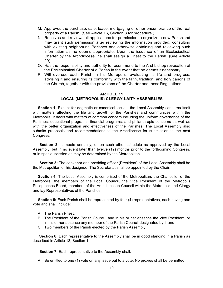- M. Approves the purchase, sale, lease, mortgaging or other encumbrance of the real property of a Parish. (See Article 16, Section 3 for procedure.)
- N. Receives and reviews all applications for permission to organize a new Parish and may grant such permission after reviewing the information provided, consulting with existing neighboring Parishes and otherwise obtaining and reviewing such information as he deems appropriate. Upon the issuance of an Ecclesiastical Charter by the Archdiocese, he shall assign a Priest to the Parish. (See Article 20)
- O. Has the responsibility and authority to recommend to the Archbishop revocation of the Ecclesiastical Charter of a Parish in the event that he deems it necessary.
- P. Will oversee each Parish in his Metropolis, evaluating its life and progress, advising it and ensuring its conformity with the faith, tradition, and holy canons of the Church, together with the provisions of the Charter and these Regulations.

#### **ARTICLE 11 LOCAL (METROPOLIS) CLERGY-LAITY ASSEMBLIES**

Section 1: Except for dogmatic or canonical issues, the Local Assembly concerns itself with matters affecting the life and growth of the Parishes and communities within the Metropolis. It deals with matters of common concern including the uniform governance of the Parishes, educational programs, financial programs, and philanthropic concerns as well as with the better organization and effectiveness of the Parishes. The Local Assembly also submits proposals and recommendations to the Archdiocese for submission to the next Congress.

**Section 2:** It meets annually, or on such other schedule as approved by the Local Assembly, but in no event later than twelve (12) months prior to the forthcoming Congress, or in special session as may be determined by the Metropolitan.

**Section 3:** The convenor and presiding officer (President) of the Local Assembly shall be the Metropolitan or his designee. The Secretariat shall be appointed by the Chair.

**Section 4:** The Local Assembly is comprised of the Metropolitan, the Chancellor of the Metropolis, the members of the Local Council, the Vice President of the Metropolis Philoptochos Board, members of the Archdiocesan Council within the Metropolis and Clergy and lay Representatives of the Parishes.

**Section 5:** Each Parish shall be represented by four (4) representatives, each having one vote and shall include:

- A The Parish Priest:
- B. The President of the Parish Council, and in his or her absence the Vice President, or in his or her absence any member of the Parish Council designated by it;and
- C. Two members of the Parish elected by the Parish Assembly.

**Section 6:** Each representative to the Assembly shall be in good standing in a Parish as described in Article 18, Section 1.

**Section 7:** Each representative to the Assembly shall:

A. Be entitled to one (1) vote on any issue put to a vote. No proxies shall be permitted.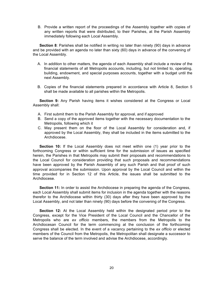B. Provide a written report of the proceedings of the Assembly together with copies of any written reports that were distributed, to their Parishes, at the Parish Assembly immediately following each Local Assembly.

**Section 8**: Parishes shall be notified in writing no later than ninety (90) days in advance and be provided with an agenda no later than sixty (60) days in advance of the convening of the Local Assembly.

- A. In addition to other matters, the agenda of each Assembly shall include a review of the financial statements of all Metropolis accounts, including, but not limited to, operating, building, endowment, and special purposes accounts, together with a budget until the next Assembly.
- B. Copies of the financial statements prepared in accordance with Article 8, Section 5 shall be made available to all parishes within the Metropolis.

**Section 9:** Any Parish having items it wishes considered at the Congress or Local Assembly shall:

- A. First submit them to the Parish Assembly for approval, and if approved
- B. Send a copy of the approved items together with the necessary documentation to the Metropolis, following which it
- C. May present them on the floor of the Local Assembly for consideration and, if approved by the Local Assembly, they shall be included in the items submitted to the Archdiocese.

**Section 10:** If the Local Assembly does not meet within one (1) year prior to the forthcoming Congress or within sufficient time for the submission of issues as specified herein, the Parishes in that Metropolis may submit their proposals and recommendations to the Local Council for consideration providing that such proposals and recommendations have been approved by the Parish Assembly of any such Parish and that proof of such approval accompanies the submission. Upon approval by the Local Council and within the time provided for in Section 12 of this Article, the issues shall be submitted to the Archdiocese.

**Section 11:** In order to assist the Archdiocese in preparing the agenda of the Congress, each Local Assembly shall submit items for inclusion in the agenda together with the reasons therefor to the Archdiocese within thirty (30) days after they have been approved by the Local Assembly, and not later than ninety (90) days before the convening of the Congress.

**Section 12:** At the Local Assembly held within the designated period prior to the Congress, except for the Vice President of the Local Council and the Chancellor of the Metropolis who are *ex officio* members, the members from the Metropolis to the Archdiocesan Council for the term commencing at the conclusion of the forthcoming Congress shall be elected. In the event of a vacancy pertaining to the *ex officio* or elected members of the Council from the Metropolis, the Metropolitan shall designate a successor to serve the balance of the term involved and advise the Archdiocese, accordingly.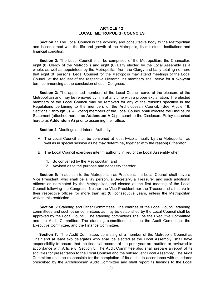#### **ARTICLE 12 LOCAL (METROPOLIS) COUNCILS**

**Section 1:** The Local Council is the advisory and consultative body to the Metropolitan and is concerned with the life and growth of the Metropolis, its ministries, institutions and financial condition.

**Section 2:** The Local Council shall be comprised of the Metropolitan, the Chancellor, eight (8) Clergy of the Metropolis and eight (8) Laity elected by the Local Assembly as a whole, as well as appointees by the Metropolitan from the Clergy and Laity totaling no more that eight (8) persons. Legal Counsel for the Metropolis may attend meetings of the Local Council, at the request of the respective Hierarch. Its members shall serve for a two-year term commencing at the conclusion of each Congress.

**Section 3:** The appointed members of the Local Council serve at the pleasure of the Metropolitan and may be removed by him at any time with a proper explanation. The elected members of the Local Council may be removed for any of the reasons specified in the Regulations pertaining to the members of the Archdiocesan Council. (See Article 18, Sections 1 through 3). All voting members of the Local Council shall execute the Disclosure Statement (attached hereto as **Addendum A-2**) pursuant to the Disclosure Policy (attached hereto as **Addendum A**) prior to assuming their office.

**Section 4:** Meetings and Interim Authority:

- A. The Local Council shall be convened at least twice annually by the Metropolitan as well as in special session as he may determine, together with the reason(s) therefor.
- B. The Local Council exercises interim authority in lieu of the Local Assembly when:
	- 1. So convened by the Metropolitan; and
	- 2. Advised as to the purpose and necessity therefor.

**Section 5:** In addition to the Metropolitan as President, the Local Council shall have a Vice President, who shall be a lay person, a Secretary, a Treasurer and such additional officers as nominated by the Metropolitan and elected at the first meeting of the Local Council following the Congress. Neither the Vice President nor the Treasurer shall serve in their respective offices for more than six (6) consecutive years, unless the Metropolitan waives this restriction.

**Section 6**: Standing and Other Committees: The charges of the Local Council standing committees and such other committees as may be established by the Local Council shall be approved by the Local Council. The standing committees shall be the Executive Committee and the Audit Committee. The standing committees shall be the Audit Committee, the Executive Committee, and the Finance Committee.

**Section 7:** The Audit Committee, consisting of a member of the Metropolis Council as Chair and at least two delegates who shall be elected at the Local Assembly, shall have responsibility to ensure that the financial records of the prior year are audited or reviewed in accordance with Article 8, Section 5. The Audit Committee also shall prepare a report of its activities for presentation to the Local Counsel and the subsequent Local Assembly, The Audit Committee shall be responsible for the completion of its audits in accordance with standards prescribed by the Archdiocesan Audit Committee and shall report its findings to the Local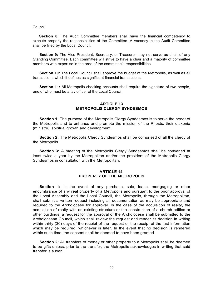Council.

**Section 8:** The Audit Committee members shall have the financial competency to execute properly the responsibilities of the Committee. A vacancy in the Audit Committee shall be filled by the Local Council.

**Section 9:** The Vice President, Secretary, or Treasurer may not serve as chair of any Standing Committee. Each committee will strive to have a chair and a majority of committee members with expertise in the area of the committee's responsibilities.

**Section 10:** The Local Council shall approve the budget of the Metropolis, as well as all transactions which it defines as significant financial transactions.

**Section 11:** All Metropolis checking accounts shall require the signature of two people, one of who must be a lay officer of the Local Council.

#### **ARTICLE 13 METROPOLIS CLERGY SYNDESMOS**

**Section 1:** The purpose of the Metropolis Clergy Syndesmos is to serve the needsof the Metropolis and to enhance and promote the mission of the Priests, their diakonia (ministry), spiritual growth and development.

**Section 2:** The Metropolis Clergy Syndesmos shall be comprised of all the clergy of the Metropolis.

**Section 3:** A meeting of the Metropolis Clergy Syndesmos shall be convened at least twice a year by the Metropolitan and/or the president of the Metropolis Clergy Syndesmos in consultation with the Metropolitan.

#### **ARTICLE 14 PROPERTY OF THE METROPOLIS**

**Section 1:** In the event of any purchase, sale, lease, mortgaging or other encumbrance of any real property of a Metropolis and pursuant to the prior approval of the Local Assembly and the Local Council, the Metropolis, through the Metropolitan, shall submit a written request including all documentation as may be appropriate and required to the Archdiocese for approval. In the case of the acquisition of realty, the acquisition of realty with an existing structure or the construction of a church edifice or other buildings, a request for the approval of the Archdiocese shall be submitted to the Archdiocesan Council, which shall review the request and render its decision in writing within thirty (30) days of the receipt of the request or the receipt of the last information which may be required, whichever is later. In the event that no decision is rendered within such time, the consent shall be deemed to have been granted.

**Section 2:** All transfers of money or other property to a Metropolis shall be deemed to be gifts unless, prior to the transfer, the Metropolis acknowledges in writing that said transfer is a loan.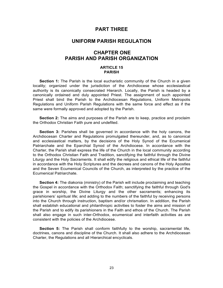## **PART THREE**

## **UNIFORM PARISH REGULATION**

# **CHAPTER ONE PARISH AND PARISH ORGANIZATION**

#### **ARTICLE 15 PARISH**

**Section 1:** The Parish is the local eucharistic community of the Church in a given locality; organized under the jurisdiction of the Archdiocese whose ecclesiastical authority is its canonically consecrated Hierarch. Locally, the Parish is headed by a canonically ordained and duly appointed Priest. The assignment of such appointed Priest shall bind the Parish to the Archdiocesan Regulations, Uniform Metropolis Regulations and Uniform Parish Regulations with the same force and effect as if the same were formally approved and adopted by the Parish.

**Section 2:** The aims and purposes of the Parish are to keep, practice and proclaim the Orthodox Christian Faith pure and undefiled.

**Section 3:** Parishes shall be governed in accordance with the holy canons, the Archdiocesan Charter and Regulations promulgated thereunder, and, as to canonical and ecclesiastical matters, by the decisions of the Holy Synod of the Ecumenical Patriarchate and the Eparchial Synod of the Archdiocese. In accordance with the Charter, the Parish shall express the life of the Church in the local community according to the Orthodox Christian Faith and Tradition, sanctifying the faithful through the Divine Liturgy and the Holy Sacraments. It shall edify the religious and ethical life of the faithful in accordance with the Holy Scriptures and the decrees and canons of the Holy Apostles and the Seven Ecumenical Councils of the Church, as interpreted by the practice of the Ecumenical Patriarchate.

**Section 4:** The diakonia (ministry) of the Parish will include proclaiming and teaching the Gospel in accordance with the Orthodox Faith; sanctifying the faithful through God's grace in worship, the Divine Liturgy and the other sacraments; enhancing its parishioners' spiritual life; and adding to the numbers of the faithful by receiving persons into the Church through instruction, baptism and/or chrismation. In addition, the Parish shall establish educational and philanthropic activities to foster the aims and mission of the Parish and to edify its parishioners in the Faith and ethos of the Church. The Parish shall also engage in such inter-Orthodox, ecumenical and interfaith activities as are consistent with the policies of the Archdiocese.

**Section 5:** The Parish shall conform faithfully to the worship, sacramental life, doctrines, canons and discipline of the Church. It shall also adhere to the Archdiocesan Charter, the Regulations and all Hierarchical encyclicals.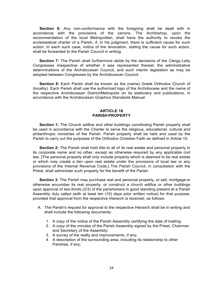**Section 6:** Any non-conformance with the foregoing shall be dealt with in accordance with the provisions of the canons. The Archbishop, upon the recommendation of the local Metropolitan, shall have the authority to revoke the ecclesiastical charter of a Parish, if, in his judgment, there is sufficient cause for such action. In each such case, notice of the revocation, stating the cause for such action, shall be forwarded to the Parish Council in writing.

**Section 7:** The Parish shall furthermore abide by the decisions of the Clergy-Laity Congresses irrespective of whether it was represented thereat, the administrative determinations of the Archdiocesan Council, and such interim legislation as may be adopted between Congresses by the Archdiocesan Council.

**Section 8:** Each Parish shall be known as the (name) Greek Orthodox Church of (locality). Each Parish shall use the authorized logo of the Archdiocese and the name of the respective Archdiocesan District/Metropolis on its stationery and publications, in accordance with the Archdiocesan Graphics Standards Manual.

#### **ARTICLE 16 PARISH PROPERTY**

**Section 1:** The Church edifice and other buildings constituting Parish property shall be used in accordance with the Charter to serve the religious, educational, cultural and philanthropic ministries of the Parish. Parish property shall be held and used by the Parish to carry out the purposes of the Orthodox Christian Faith as defined in Article 15.

**Section 2:** The Parish shall hold title to all of its real estate and personal property in its corporate name and no other, except as otherwise required by any applicable civil law. [The personal property shall only include property which is deemed to be real estate or which may create a lien upon real estate under the provisions of local law or any provisions of the Internal Revenue Code.] The Parish Council, in consultation with the Priest, shall administer such property for the benefit of the Parish.

**Section 3:** The Parish may purchase real and personal property, or sell, mortgage or otherwise encumber its real property, or construct a church edifice or other buildings upon approval of two-thirds (2/3) of the parishioners in good standing present at a Parish Assembly duly called (with at least ten (10) days prior written notice) for that purpose, provided that approval from the respective Hierarch is received, as follows:

- A. The Parish's request for approval to the respective Hierarch shall be in writing and shall include the following documents:
	- 1. A copy of the notice of the Parish Assembly certifying the date of mailing;
	- 2. A copy of the minutes of the Parish Assembly signed by the Priest, Chairman and Secretary of the Assembly;
	- 3. A survey of the realty and improvements, if any;
	- 4. A description of the surrounding area, including its relationship to other Parishes, if any;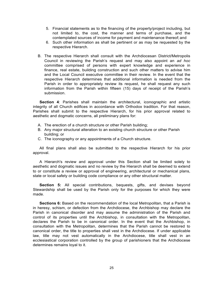- 5. Financial statements as to the financing of the property/project including, but not limited to, the cost, the manner and terms of purchase, and the contemplated sources of income for payment and maintenance thereof; and
- 6. Such other information as shall be pertinent or as may be requested by the respective Hierarch.
- B. The respective Hierarch shall consult with the Archdiocesan District/Metropolis Council in reviewing the Parish's request and may also appoint an *ad hoc*  committee comprised of persons with expert knowledge and experience in finance, real estate, building construction and such other matters to advise him and the Local Council executive committee in their review. In the event that the respective Hierarch determines that additional information is needed from the Parish in order to appropriately review its request, he shall request any such information from the Parish within fifteen (15) days of receipt of the Parish's submission.

**Section 4**: Parishes shall maintain the architectural, iconographic and artistic integrity of all Church edifices in accordance with Orthodox tradition. For that reason, Parishes shall submit to the respective Hierarch, for his prior approval related to aesthetic and dogmatic concerns, all preliminary plans for:

- A. The erection of a church structure or other Parish building;
- B. Any major structural alteration to an existing church structure or other Parish building; or
- C. The iconography or any appointments of a Church structure.

All final plans shall also be submitted to the respective Hierarch for his prior approval.

A Hierarch's review and approval under this Section shall be limited solely to aesthetic and dogmatic issues and no review by the Hierarch shall be deemed to extend to or constitute a review or approval of engineering, architectural or mechanical plans, state or local safety or building code compliance or any other structural matter.

**Section 5:** All special contributions, bequests, gifts, and devises beyond Stewardship shall be used by the Parish only for the purposes for which they were made.

**Sections 6:** Based on the recommendation of the local Metropolitan, that a Parish is in heresy, schism, or defection from the Archdiocese, the Archbishop may declare the Parish in canonical disorder and may assume the administration of the Parish and control of its properties until the Archbishop, in consultation with the Metropolitan, declares the Parish to be in canonical order. In the event that the Archbishop, in consultation with the Metropolitan, determines that the Parish cannot be restored to canonical order, the title to properties shall vest in the Archdiocese. If under applicable law, title may not vest automatically in the Archdiocese, title shall vest in an ecclesiastical corporation controlled by the group of parishioners that the Archdiocese determines remains loyal to it.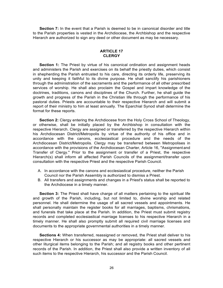**Section 7:** In the event that a Parish is deemed to be in canonical disorder and title to the Parish properties is vested in the Archdiocese, the Archbishop and the respective Hierarch are authorized to sign any deed or other document as may be necessary.

#### **ARTICLE 17 CLERGY**

**Section 1:** The Priest by virtue of his canonical ordination and assignment heads and administers the Parish and exercises on its behalf the priestly duties, which consist in shepherding the Parish entrusted to his care, directing its orderly life, preserving its unity and keeping it faithful to its divine purpose. He shall sanctify his parishioners through the administration of the sacraments and the performance of all other prescribed services of worship. He shall also proclaim the Gospel and impart knowledge of the doctrines, traditions, canons and disciplines of the Church. Further, he shall guide the growth and progress of the Parish in the Christian life through the performance of his pastoral duties. Priests are accountable to their respective Hierarch and will submit a report of their ministry to him at least annually. The Eparchial Synod shall determine the format for these reports.

**Section 2:** Clergy entering the Archdiocese from the Holy Cross School of Theology, or otherwise, shall be initially placed by the Archbishop in consultation with the respective Hierarch. Clergy are assigned or transferred by the respective Hierarch within his Archdiocesan District/Metropolis by virtue of the authority of his office and in accordance with the canons, ecclesiastical procedure and the needs of the Archdiocesan District/Metropolis. Clergy may be transferred between Metropolises in accordance with the provisions of the Archdiocesan Charter, Article 16, "Assignment and Transfer of Clergy." Prior to the assignment or transfer of a Priest, the respective Hierarch(s) shall inform all affected Parish Councils of the assignment/transfer upon consultation with the respective Priest and the respective Parish Council.

- A. In accordance with the canons and ecclesiastical procedure, neither the Parish Council nor the Parish Assembly is authorized to dismiss a Priest.
- B. All transfers and assignments and changes in a Priest's status shall be reported to the Archdiocese in a timely manner.

**Section 3:** The Priest shall have charge of all matters pertaining to the spiritual life and growth of the Parish, including, but not limited to, divine worship and related personnel. He shall determine the usage of all sacred vessels and appointments. He shall personally maintain the register books for all marriages, baptisms, chrismations, and funerals that take place at the Parish. In addition, the Priest must submit registry records and completed ecclesiastical marriage licenses to his respective Hierarch in a timely manner. He shall also promptly submit all required civil marriage licenses and documents to the appropriate governmental authorities in a timely manner.

**Sections 4:** When transferred, reassigned or removed, the Priest shall deliver to his respective Hierarch or his successor as may be appropriate: all sacred vessels and other liturgical items belonging to the Parish; and all registry books and other pertinent records of the Parish. In addition, the Priest shall also provide a written inventory of all such items to the respective Hierarch, his successor and the Parish Council.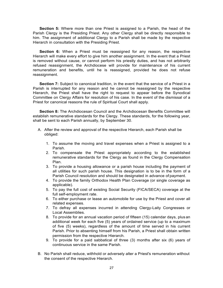**Section 5:** Where more than one Priest is assigned to a Parish, the head of the Parish Clergy is the Presiding Priest. Any other Clergy shall be directly responsible to him. The assignment of additional Clergy to a Parish shall be made by the respective Hierarch in consultation with the Presiding Priest.

**Section 6:** When a Priest must be reassigned for any reason, the respective Hierarch will make every effort to give him another assignment. In the event that a Priest is removed without cause, or cannot perform his priestly duties, and has not arbitrarily refused reassignment, the Archdiocese will provide for maintenance of his current remuneration and benefits, until he is reassigned, provided he does not refuse reassignment.

Section 7: Subject to canonical tradition, in the event that the service of a Priest in a Parish is interrupted for any reason and he cannot be reassigned by the respective Hierarch, the Priest shall have the right to request to appear before the Synodical Committee on Clergy Affairs for resolution of his case. In the event of the dismissal of a Priest for canonical reasons the rule of Spiritual Court shall apply.

**Section 8:** The Archdiocesan Council and the Archdiocesan Benefits Committee will establish remunerative standards for the Clergy. These standards, for the following year, shall be sent to each Parish annually, by September 30.

- A. After the review and approval of the respective Hierarch, each Parish shall be obliged:
	- 1. To assume the moving and travel expenses when a Priest is assigned to a Parish.
	- 2. To compensate the Priest appropriately according to the established remunerative standards for the Clergy as found in the Clergy Compensation Plan.
	- 3. To provide a housing allowance or a parish house including the payment of all utilities for such parish house. This designation is to be in the form of a Parish Council resolution and should be designated in advance of payment.
	- 4. To provide the family Orthodox Health Plan Coverage (or single coverage as applicable).
	- 5. To pay the full cost of existing Social Security (FICA/SECA) coverage at the full self-employment rate.
	- 6. To either purchase or lease an automobile for use by the Priest and cover all related expenses.
	- 7. To defray all expenses incurred in attending Clergy-Laity Congresses or Local Assemblies.
	- 8. To provide for an annual vacation period of fifteen (15) calendar days, plus an additional week for each five (5) years of ordained service (up to a maximum of five (5) weeks), regardless of the amount of time served in his current Parish. Prior to absenting himself from his Parish, a Priest shall obtain written permission from the respective Hierarch.
	- 9. To provide for a paid sabbatical of three (3) months after six (6) years of continuous service in the same Parish.
- B. No Parish shall reduce, withhold or adversely alter a Priest's remuneration without the consent of the respective Hierarch.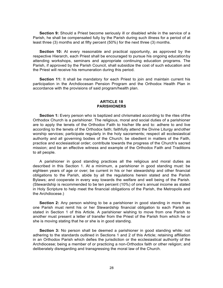**Section 9:** Should a Priest become seriously ill or disabled while in the service of a Parish, he shall be compensated fully by the Parish during such illness for a period of at least three (3) months and at fifty percent (50%) for the next three (3) months.

**Section 10:** At every reasonable and practical opportunity, as approved by the respective Hierarch, each Priest shall be encouraged to pursue his ongoing educationby attending workshops, seminars and appropriate continuing education programs. The Parish, if approved by the Parish Council, shall subsidize the cost of such education and the Priest will receive his remuneration during this period.

**Section 11:** It shall be mandatory for each Priest to join and maintain current his participation in the Archdiocesan Pension Program and the Orthodox Health Plan in accordance with the provisions of said program/health plan.

#### **ARTICLE 18 PARISHIONERS**

**Section 1:** Every person who is baptized and chrismated according to the rites of the Orthodox Church is a parishioner. The religious, moral and social duties of a parishioner are to apply the tenets of the Orthodox Faith to his/her life and to: adhere to and live according to the tenets of the Orthodox faith; faithfully attend the Divine Liturgy andother worship services; participate regularly in the holy sacraments; respect all ecclesiastical authority and all governing bodies of the Church; be obedient in matters of the Faith, practice and ecclesiastical order; contribute towards the progress of the Church's sacred mission; and be an effective witness and example of the Orthodox Faith and Traditions to all people.

A parishioner in good standing practices all the religious and moral duties as described in this Section 1. At a minimum, a parishioner in good standing must: be eighteen years of age or over; be current in his or her stewardship and other financial obligations to the Parish, abide by all the regulations herein stated and the Parish Bylaws; and cooperate in every way towards the welfare and well being of the Parish. (Stewardship is recommended to be ten percent (10%) of one's annual income as stated in Holy Scripture to help meet the financial obligations of the Parish, the Metropolis and the Archdiocese.)

**Section 2:** Any person wishing to be a parishioner in good standing in more than one Parish must remit his or her Stewardship financial obligation to each Parish as stated in Section 1 of this Article. A parishioner wishing to move from one Parish to another must present a letter of transfer from the Priest of the Parish from which he or she is moving stating that he or she is in good standing.

**Section 3:** No person shall be deemed a parishioner in good standing while: not adhering to the standards outlined in Sections 1 and 2 of this Article; retaining affiliation in an Orthodox Parish which defies the jurisdiction or the ecclesiastical authority of the Archdiocese; being a member of or practicing a non-Orthodox faith or other religion; and deliberately disregarding and transgressing the moral law of the Church.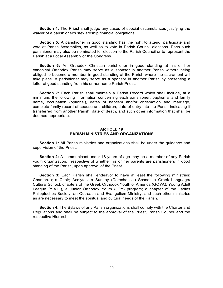**Section 4:** The Priest shall judge any cases of special circumstances justifying the waiver of a parishioner's stewardship financial obligations.

**Section 5:** A parishioner in good standing has the right to attend, participate and vote at Parish Assemblies, as well as to vote in Parish Council elections. Each such parishioner may also be nominated for election to the Parish Council or to represent the Parish at a Local Assembly or the Congress.

**Section 6:** An Orthodox Christian parishioner in good standing at his or her canonical Orthodox Parish may serve as a sponsor in another Parish without being obliged to become a member in good standing at the Parish where the sacrament will take place. A parishioner may serve as a sponsor in another Parish by presenting a letter of good standing from his or her home Parish Priest.

**Section 7:** Each Parish shall maintain a Parish Record which shall include, at a minimum, the following information concerning each parishioner: baptismal and family name, occupation (optional), dates of baptism and/or chrismation and marriage, complete family record of spouse and children, date of entry into the Parish indicating if transferred from another Parish, date of death, and such other information that shall be deemed appropriate.

#### **ARTICLE 19 PARISH MINISTRIES AND ORGANIZATIONS**

**Section 1:** All Parish ministries and organizations shall be under the guidance and supervision of the Priest.

**Section 2:** A communicant under 18 years of age may be a member of any Parish youth organization, irrespective of whether his or her parents are parishioners in good standing of the Parish, upon approval of the Priest.

**Section 3:** Each Parish shall endeavor to have at least the following ministries: Chanter(s); a Choir; Acolytes; a Sunday (Catechetical) School; a Greek Language/ Cultural School; chapters of the Greek Orthodox Youth of America (GOYA), Young Adult League (Y.A.L.), a Junior Orthodox Youth (JOY) program; a chapter of the Ladies Philoptochos Society; an Outreach and Evangelism Ministry; and such other ministries as are necessary to meet the spiritual and cultural needs of the Parish.

**Section 4:** The Bylaws of any Parish organizations shall comply with the Charter and Regulations and shall be subject to the approval of the Priest, Parish Council and the respective Hierarch.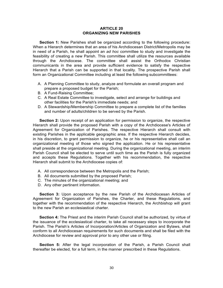#### **ARTICLE 20 ORGANIZING NEW PARISHES**

**Section 1:** New Parishes shall be organized according to the following procedure: When a Hierarch determines that an area of his Archdiocesan District/Metropolis may be in need of a Parish, he shall appoint an *ad hoc* committee to study and investigate the feasibility of creating a new Parish. This committee shall utilize the resources available through the Archdiocese. The committee shall assist the Orthodox Christian communicants in the area and provide sufficient evidence to satisfy the respective Hierarch that a Parish can be supported in that locality. The prospective Parish shall form an Organizational Committee including at least the following subcommittees:

- A. A Planning Committee to study, analyze and formulate an overall program and prepare a proposed budget for the Parish;
- B. A Fund-Raising Committee;
- C. A Real Estate Committee to investigate, select and arrange for buildings and other facilities for the Parish's immediate needs; and
- D. A Stewardship/Membership Committee to prepare a complete list of the families and number of adults/children to be served by the Parish.

**Section 2:** Upon receipt of an application for permission to organize, the respective Hierarch shall provide the proposed Parish with a copy of the Archdiocese's Articles of Agreement for Organization of Parishes. The respective Hierarch shall consult with existing Parishes in the applicable geographic area. If the respective Hierarch decides, in his discretion, to grant permission to organize, he or his representative shall call an organizational meeting of those who signed the application. He or his representative shall preside at the organizational meeting. During the organizational meeting, an interim Parish Council shall be elected to serve until such time as the Parish is fully organized and accepts these Regulations. Together with his recommendation, the respective Hierarch shall submit to the Archdiocese copies of:

- A. All correspondence between the Metropolis and the Parish;
- B. All documents submitted by the proposed Parish;
- C. The minutes of the organizational meeting; and
- D. Any other pertinent information.

**Section 3:** Upon acceptance by the new Parish of the Archdiocesan Articles of Agreement for Organization of Parishes, the Charter, and these Regulations, and together with the recommendation of the respective Hierarch, the Archbishop will grant to the new Parish an ecclesiastical charter.

**Section 4:** The Priest and the interim Parish Council shall be authorized, by virtue of the issuance of the ecclesiastical charter, to take all necessary steps to incorporate the Parish. The Parish's Articles of Incorporation/Articles of Organization and Bylaws, shall conform to all Archdiocesan requirements for such documents and shall be filed with the Archdiocese for review and approval prior to any other use or filing.

**Section 5:** After the legal incorporation of the Parish, a Parish Council shall thereafter be elected, for a full term, in the manner prescribed in these Regulations.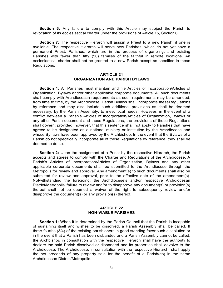**Section 6:** Any failure to comply with this Article may subject the Parish to revocation of its ecclesiastical charter under the provisions of Article 15, Section 6.

**Section 7:** The respective Hierarch will assign a Priest to a new Parish, if one is available. The respective Hierarch will serve new Parishes, which do not yet have a permanent Priest; Parishes, which are in the process of organizing; and existing Parishes with fewer than fifty (50) families of the faithful in remote locations. An ecclesiastical charter shall not be granted to a new Parish except as specified in these Regulations.

# **ARTICLE 21 ORGANIZATION AND PARISH BYLAWS**

**Section 1:** All Parishes must maintain and file Articles of Incorporation/Articles of Organization, Bylaws and/or other applicable corporate documents. All such documents shall comply with Archdiocesan requirements as such requirements may be amended, from time to time, by the Archdiocese. Parish Bylaws shall incorporate these Regulations by reference and may also include such additional provisions as shall be deemed necessary, by the Parish Assembly, to meet local needs. However, in the event of a conflict between a Parish's Articles of Incorporation/Articles of Organization, Bylaws or any other Parish document and these Regulations, the provisions of these Regulations shall govern; provided, however, that this sentence shall not apply to Parishes that have agreed to be designated as a national ministry or institution by the Archdiocese and whose By-laws have been approved by the Archbishop. In the event that the Bylaws of a Parish do not specifically incorporate all of these Regulations by reference, they shall be deemed to do so.

**Section 2:** Upon the assignment of a Priest by the respective Hierarch, the Parish accepts and agrees to comply with the Charter and Regulations of the Archdiocese. A Parish's Articles of Incorporation/Articles of Organization, Bylaws and any other applicable corporate documents shall be submitted to the Archdiocese through the Metropolis for review and approval. Any amendment(s) to such documents shall also be submitted for review and approval, prior to the effective date of the amendment(s). Notwithstanding the foregoing, the Archdiocese's and/or respective Archdiocesan District/Metropolis' failure to review and/or to disapprove any document(s) or provision(s) thereof shall not be deemed a waiver of the right to subsequently review and/or disapprove the document(s) or any provision(s) thereof.

#### **ARTICLE 22 NON-VIABLE PARISHES**

**Section 1:** When it is determined by the Parish Council that the Parish is incapable of sustaining itself and wishes to be dissolved, a Parish Assembly shall be called. If three-fourths (3/4) of the existing parishioners in good standing favor such dissolution or in the event that a Parish has been disbanded and a Parish Assembly cannot be called, the Archbishop in consultation with the respective Hierarch shall have the authority to declare the said Parish dissolved or disbanded and its properties shall devolve to the Archdiocese. The Archdiocese, in consultation with the respective Hierarch, shall apply the net proceeds of any property sale for the benefit of a Parish(es) in the same Archdiocesan District/Metropolis.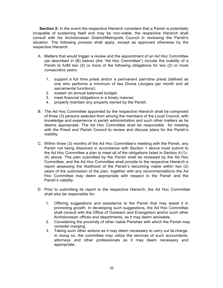**Section 2:** In the event the respective Hierarch considers that a Parish is potentially incapable of sustaining itself and may be non-viable, the respective Hierarch shall consult with his Archdiocesan District/Metropolis Council in reviewing the Parish's situation. The following process shall apply, except as approved otherwise by the respective Hierarch:

- A. Matters that would trigger a review and the appointment of an Ad Hoc Committee (as described in (B) below) (the "Ad Hoc Committee") include the inability of a Parish to fulfill two (2) or more of the following obligations for two (2) or more consecutive years:
	- 1. support a full time priest and/or a permanent part-time priest (defined as one who performs a minimum of two Divine Liturgies per month and all sacramental functions);
	- 2. sustain an annual balanced budget;
	- 3. meet financial obligations in a timely manner;
	- 4. properly maintain any property owned by the Parish.
- B. The Ad Hoc Committee appointed by the respective Hierarch shall be comprised of three (3) persons selected from among the members of the Local Council, with knowledge and experience in parish administration and such other matters as he deems appropriate. The Ad Hoc Committee shall be responsible for meeting with the Priest and Parish Council to review and discuss plans for the Parish's viability.
- C. Within three (3) months of the Ad Hoc Committee's meeting with the Parish, any Parish not being dissolved in accordance with Section 1 above must submit to the Ad Hoc Committee a plan to meet all of the obligations listed in Section A (1)- (4) above. The plan submitted by the Parish shall be reviewed by the Ad Hoc Committee, and the Ad Hoc Committee shall provide to the respective Hierarch a report assessing the likelihood of the Parish's becoming viable within two (2) years of the submission of the plan, together with any recommendations the Ad Hoc Committee may deem appropriate with respect to the Parish and the Parish's viability.
- D. Prior to submitting its report to the respective Hierarch, the Ad Hoc Committee shall also be responsible for:
	- 1. Offering suggestions and assistance to the Parish that may assist it in promoting growth. In developing such suggestions, the Ad Hoc Committee shall consult with the Office of Outreach and Evangelism and/or such other Archdiocesan offices and departments, as it may deem advisable.
	- 2. Considering the proximity of other viable Parishes with which the Parish may consider merging.
	- 3. Taking such other actions as it may deem necessary to carry out its charge. In doing so, the committee may utilize the services of such accountants, attorneys and other professionals as it may deem necessary and appropriate.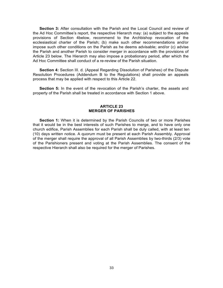**Section 3:** After consultation with the Parish and the Local Council and review of the Ad Hoc Committee's report, the respective Hierarch may: (a) subject to the appeals provisions of Section 4below, recommend to the Archbishop revocation of the ecclesiastical charter of the Parish; (b) make such other recommendations and/or impose such other conditions on the Parish as he deems advisable; and/or (c) advise the Parish and another Parish to consider merger in accordance with the provisions of Article 23 below. The Hierarch may also impose a probationary period, after which the Ad Hoc Committee shall conduct of a re-review of the Parish situation.

**Section 4:** Section III. d. (Appeal Regarding Dissolution of Parishes) of the Dispute Resolution Procedures (Addendum B to the Regulations) shall provide an appeals process that may be applied with respect to this Article 22.

**Section 5:** In the event of the revocation of the Parish's charter, the assets and property of the Parish shall be treated in accordance with Section 1 above.

### **ARTICLE 23 MERGER OF PARISHES**

**Section 1:** When it is determined by the Parish Councils of two or more Parishes that it would be in the best interests of such Parishes to merge, and to have only one church edifice, Parish Assemblies for each Parish shall be duly called, with at least ten (10) days written notice. A quorum must be present at each Parish Assembly. Approval of the merger shall require the approval of all Parish Assemblies by two-thirds (2/3) vote of the Parishioners present and voting at the Parish Assemblies. The consent of the respective Hierarch shall also be required for the merger of Parishes.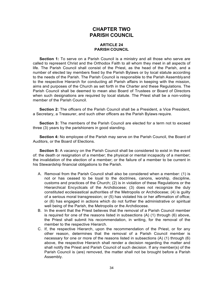# **CHAPTER TWO PARISH COUNCIL**

#### **ARTICLE 24 PARISH COUNCIL**

**Section 1:** To serve on a Parish Council is a ministry and all those who serve are called to represent Christ and the Orthodox Faith to all whom they meet in all aspects of life. The Parish Council shall consist of the Priest, as the head of the Parish, and a number of elected lay members fixed by the Parish Bylaws or by local statute according to the needs of the Parish. The Parish Council is responsible to the Parish Assemblyand to the respective Hierarch for conducting all Parish affairs in keeping with the mission, aims and purposes of the Church as set forth in the Charter and these Regulations. The Parish Council shall be deemed to mean also Board of Trustees or Board of Directors when such designations are required by local statute. The Priest shall be a non-voting member of the Parish Council.

**Section 2:** The officers of the Parish Council shall be a President, a Vice President, a Secretary, a Treasurer, and such other officers as the Parish Bylaws require.

**Section 3:** The members of the Parish Council are elected for a term not to exceed three (3) years by the parishioners in good standing.

**Section 4:** No employee of the Parish may serve on the Parish Council, the Board of Auditors, or the Board of Elections.

**Section 5:** A vacancy on the Parish Council shall be considered to exist in the event of: the death or resignation of a member; the physical or mental incapacity of a member; the invalidation of the election of a member; or the failure of a member to be current in his Stewardship financial obligations to the Parish.

- A. Removal from the Parish Council shall also be considered when a member: (1) is not or has ceased to be loyal to the doctrines, canons, worship, discipline, customs and practices of the Church; (2) is in violation of these Regulations or the Hierarchical Encyclicals of the Archdiocese; (3) does not recognize the duly constituted ecclesiastical authorities of the Metropolis or Archdiocese; (4) is guilty of a serious moral transgression; or (5) has violated his or her affirmation of office; or (6) has engaged in actions which do not further the administrative or spiritual well being of the Parish, the Metropolis or the Archdiocese.
- B. In the event that the Priest believes that the removal of a Parish Council member is required for one of the reasons listed in subsections (A) (1) through (6) above, the Priest shall submit his recommendation, in writing, for the removal of the member to the respective Hierarch.
- C. If, the respective Hierarch, upon the recommendation of the Priest, or for any other reason, determines that the removal of a Parish Council member is necessary for one or more of the reasons listed in subsections (A) (1) through (6) above, the respective Hierarch shall render a decision regarding the matter and shall notify the Priest and Parish Council of such decision. If any member(s) of the Parish Council is (are) removed, the matter shall not be brought before a Parish Assembly.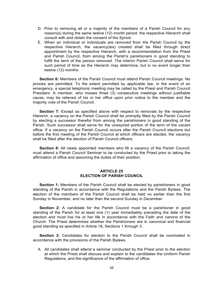- D. Prior to removing all or a majority of the members of a Parish Council for any reason(s) during the same twelve (12) month period, the respective Hierarch shall consult with and obtain the consent of the Synod.
- E. When an individual or individuals are removed from the Parish Council by the respective Hierarch, the vacancy(ies) created shall be filled through direct appointment by the respective Hierarch, with a recommendation from the Priest and Parish Council, from among the Parish's parishioners in good standing to fulfill the term of the person removed. The interim Parish Council shall serve for such period of time as the Hierarch may determine, but in no event longer than twelve (12) months.

**Section 6:** Members of the Parish Council must attend Parish Council meetings. No proxies are permitted. To the extent permitted by applicable law, in the event of an emergency, a special telephonic meeting may be called by the Priest and Parish Council President. A member, who misses three (3) consecutive meetings without justifiable cause, may be relieved of his or her office upon prior notice to the member and the majority vote of the Parish Council.

**Section 7:** Except as specified above with respect to removals by the respective Hierarch, a vacancy on the Parish Council shall be promptly filled by the Parish Council by electing a successor therefor from among the parishioners in good standing of the Parish. Such successor shall serve for the unexpired portion of the term of the vacant office. If a vacancy on the Parish Council occurs after the Parish Council elections but before the first meeting of the Parish Council at which officers are elected, the vacancy shall be filled after the election of Parish Council officers.

**Section 8:** All newly appointed members who fill a vacancy of the Parish Council, must attend a Parish Council Seminar to be conducted by the Priest prior to taking the affirmation of office and assuming the duties of their position.

#### **ARTICLE 25 ELECTION OF PARISH COUNCIL**

**Section 1:** Members of the Parish Council shall be elected by parishioners in good standing of the Parish in accordance with the Regulations and the Parish Bylaws. The election of the members of the Parish Council shall be held no earlier than the first Sunday in November, and no later than the second Sunday in December.

**Section 2:** A candidate for the Parish Council must be a parishioner in good standing of the Parish for at least one (1) year immediately preceding the date of the election and must live his or her life in accordance with the Faith and canons of the Church. The Priest determines whether the Parishioners are in canonical and financial good standing as specified in Article 18, Sections 1 through 3.

**Section 3:** Candidates for election to the Parish Council shall be nominated in accordance with the provisions of the Parish Bylaws.

A. All candidates shall attend a seminar conducted by the Priest prior to the election at which the Priest shall discuss and explain to the candidates the Uniform Parish Regulations, and the significance of the affirmation of office.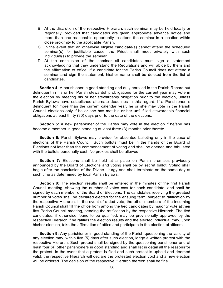- B. At the discretion of the respective Hierarch, such seminar may be held locally or regionally, provided that candidates are given appropriate advance notice and more than one reasonable opportunity to attend the seminar in a location within close proximity to the applicable Parish.
- C. In the event that an otherwise eligible candidate(s) cannot attend the scheduled seminar(s) for justifiable cause, the Priest shall meet privately with such individual(s) to provide the seminar.
- D. At the conclusion of the seminar all candidates must sign a statement acknowledging that they understand the Regulations and will abide by them and the affirmation of office. If a candidate for the Parish Council does not attend a seminar and sign the statement, his/her name shall be deleted from the list of candidates.

**Section 4:** A parishioner in good standing and duly enrolled in the Parish Record but delinquent in his or her Parish stewardship obligations for the current year may vote in the election by meeting his or her stewardship obligation prior to the election, unless Parish Bylaws have established alternate deadlines in this regard. If a Parishioner is delinquent for more than the current calendar year, he or she may vote in the Parish Council elections only if he or she has met his or her unfulfilled stewardship financial obligations at least thirty (30) days prior to the date of the elections.

**Section 5:** A new parishioner of the Parish may vote in the election if he/she has become a member in good standing at least three (3) months prior thereto.

**Section 6:** Parish Bylaws may provide for absentee balloting only in the case of elections of the Parish Council. Such ballots must be in the hands of the Board of Elections not later than the commencement of voting and shall be opened and tabulated with the ballots personally cast. No proxies shall be allowed.

**Section 7:** Elections shall be held at a place on Parish premises previously announced by the Board of Elections and voting shall be by secret ballot. Voting shall begin after the conclusion of the Divine Liturgy and shall terminate on the same day at such time as determined by local Parish Bylaws.

**Section 8:** The election results shall be entered in the minutes of the first Parish Council meeting, showing the number of votes cast for each candidate, and shall be signed by each member of the Board of Elections. The candidates receiving the greatest number of votes shall be declared elected for the ensuing term, subject to ratification by the respective Hierarch. In the event of a tied vote, the other members of the incoming Parish Council shall fill the office from among the tied candidates by majority vote attheir first Parish Council meeting, pending the ratification by the respective Hierarch. The tied candidates, if otherwise found to be qualified, may be provisionally approved by the respective Hierarch if he ratifies the election results and the elected individual may, upon his/her election, take the affirmation of office and participate in the election of officers.

**Section 9:** Any parishioner in good standing of the Parish questioning the validity of any election may, within five (5) days after such election, lodge a written protest with the respective Hierarch. Such protest shall be signed by the questioning parishioner and at least four (4) other parishioners in good standing and shall list in detail all the reasonsfor the protest. In the event that a protest is filed and such protest is upheld and deemed valid, the respective Hierarch will declare the protested election void and a new election will be ordered. The decision of the respective Hierarch thereon shall be final.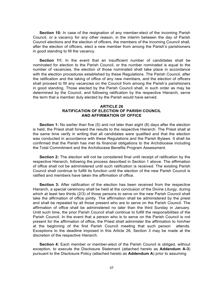**Section 10:** In case of the resignation of any member-elect of the incoming Parish Council, or a vacancy for any other reason, in the interim between the day of Parish Council elections and the election of officers, the members of the incoming Council shall, after the election of officers, elect a new member from among the Parish's parishioners in good standing to fill the vacancy.

**Section 11:** In the event that an insufficient number of candidates shall be nominated for election to the Parish Council, or the number nominated is equal to the number of vacancies, the election of those nominated shall take place in accordance with the election procedures established by these Regulations. The Parish Council, after the ratification and the taking of office of any new members, and the election of officers shall proceed to fill any vacancies on the Council from among the Parish's parishioners in good standing. Those elected by the Parish Council shall, in such order as may be determined by the Council, and following ratification by the respective Hierarch, serve the term that a member duly elected by the Parish would have served.

### **ARTICLE 26 RATIFICATION OF ELECTION OF PARISH COUNCIL AND AFFIRMATION OF OFFICE**

**Section 1:** No earlier than five (5) and not later than eight (8) days after the election is held, the Priest shall forward the results to the respective Hierarch. The Priest shall at the same time verify in writing that all candidates were qualified and that the election was conducted in accordance with these Regulations and the Parish Bylaws. It shall be confirmed that the Parish has met its financial obligations to the Archdiocese including the Total Commitment and the Archdiocese Benefits Program Assessment.

**Section 2:** The election will not be considered final until receipt of ratification by the respective Hierarch, following the process described in Section 1 above. The affirmation of office shall not be administered until such ratification is received. The existing Parish Council shall continue to fulfill its function until the election of the new Parish Council is ratified and members have taken the affirmation of office.

**Section 3:** After ratification of the election has been received from the respective Hierarch, a special ceremony shall be held at the conclusion of the Divine Liturgy, during which at least two thirds (2/3) of those persons to serve on the new Parish Council shall take the affirmation of office jointly. The affirmation shall be administered by the priest and shall be repeated by all those present who are to serve on the Parish Council. The affirmation of office shall be administered no later than the third Sunday in January. Until such time, the prior Parish Council shall continue to fulfill the responsibilities of the Parish Council. In the event that a person who is to serve on the Parish Council is not present for the affirmation of office, the Priest shall administer the affirmation to him/her at the beginning of the first Parish Council meeting that such person attends. Exceptions to the deadline imposed in this Article 26, Section 3 may be made at the discretion of the respective Hierarch.

**Section 4:** Each member or member-elect of the Parish Council is obliged, without exception, to execute the Disclosure Statement (attached hereto as **Addendum A-3**) pursuant to the Disclosure Policy (attached hereto as **Addendum A**) prior to assuming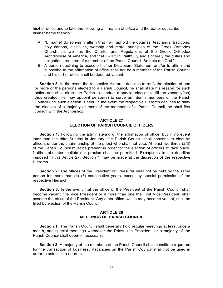his/her office and to take the following affirmation of office and thereafter subscribe his/her name thereto:

- A. "I, (name) do solemnly affirm that I will uphold the dogmas, teachings, traditions, holy canons, discipline, worship and moral principles of the Greek Orthodox Church, as well as the Charter and Regulations of the Greek Orthodox Archdiocese of America, and that I will fulfill faithfully and sincerely the duties and obligations required of a member of the Parish Council. So help me God."
- B. A person declining to execute his/her Disclosure Statement and/or to affirm and subscribe to the affirmation of office shall not be a member of the Parish Council and his or her office shall be deemed vacant.

**Section 5:** In the event the respective Hierarch declines to ratify the election of one or more of the persons elected to a Parish Council, he shall state his reason for such action and shall direct the Parish to conduct a special election to fill the vacancy(ies) thus created. He may appoint person(s) to serve as interim members of the Parish Council until such election is held. In the event the respective Hierarch declines to ratify the election of a majority or more of the members of a Parish Council, he shall first consult with the Archbishop.

# **ARTICLE 27 ELECTION OF PARISH COUNCIL OFFICERS**

**Section 1:** Following the administering of the affirmation of office, but in no event later than the third Sunday in January, the Parish Council shall convene to elect its officers under the chairmanship of the priest who shall not vote. At least two thirds (2/3) of the Parish Council must be present in order for the election of officers to take place. Neither absentee ballots nor proxies shall be permitted. Exceptions to the deadline imposed in this Article 27, Section 1 may be made at the discretion of the respective Hierarch.

**Section 2:** The offices of the President or Treasurer shall not be held by the same person for more than six (6) consecutive years, except by special permission of the respective Hierarch.

**Section 3:** In the event that the office of the President of the Parish Council shall become vacant, the Vice President or if more than one the First Vice President, shall assume the office of the President. Any other office, which may become vacant, shall be filled by election of the Parish Council.

# **ARTICLE 28 MEETINGS OF PARISH COUNCIL**

**Section 1:** The Parish Council shall generally hold regular meetings at least once a month, and special meetings whenever the Priest, the President, or a majority of the Parish Council shall deem it necessary.

**Section 2:** A majority of the members of the Parish Council shall constitute aquorum for the transaction of business. Vacancies on the Parish Council shall not be used in order to establish a quorum.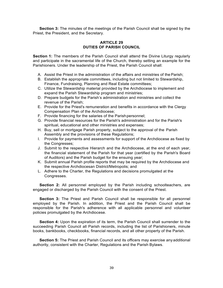**Section 3:** The minutes of the meetings of the Parish Council shall be signed by the Priest, the President, and the Secretary.

# **ARTICLE 29 DUTIES OF PARISH COUNCIL**

**Section 1:** The members of the Parish Council shall attend the Divine Liturgy regularly and participate in the sacramental life of the Church, thereby setting an example for the Parishioners. Under the leadership of the Priest, the Parish Council shall:

- A. Assist the Priest in the administration of the affairs and ministries of the Parish;
- B. Establish the appropriate committees, including but not limited to Stewardship, Finance, Fundraising, Planning and Real Estate committees;
- C. Utilize the Stewardship material provided by the Archdiocese to implement and expand the Parish Stewardship program and ministries;
- D. Prepare budgets for the Parish's administration and ministries and collect the revenue of the Parish;
- E. Provide for the Priest's remuneration and benefits in accordance with the Clergy Compensation Plan of the Archdiocese;
- F. Provide financing for the salaries of the Parishpersonnel;
- G. Provide financial resources for the Parish's administration and for the Parish's spiritual, educational and other ministries and expenses;
- H. Buy, sell or mortgage Parish property, subject to the approval of the Parish Assembly and the provisions of these Regulations;
- I. Provide for payments and assessments for support of the Archdiocese as fixed by the Congresses;
- J. Submit to the respective Hierarch and the Archdiocese, at the end of each year, the financial statement of the Parish for that year (certified by the Parish's Board of Auditors) and the Parish budget for the ensuing year;
- K. Submit annual Parish profile reports that may be required by the Archdiocese and the respective Archdiocesan District/Metropolis; and
- L. Adhere to the Charter, the Regulations and decisions promulgated at the Congresses.

**Section 2:** All personnel employed by the Parish including schoolteachers, are engaged or discharged by the Parish Council with the consent of the Priest.

**Section 3:** The Priest and Parish Council shall be responsible for all personnel employed by the Parish. In addition, the Priest and the Parish Council shall be responsible for the Parish's adherence with all applicable personnel and volunteer policies promulgated by the Archdiocese.

**Section 4:** Upon the expiration of its term, the Parish Council shall surrender to the succeeding Parish Council all Parish records, including the list of Parishioners, minute books, bankbooks, checkbooks, financial records, and all other property of the Parish.

**Section 5:** The Priest and Parish Council and its officers may exercise anyadditional authority, consistent with the Charter, Regulations and the Parish Bylaws.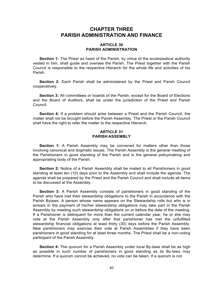# **CHAPTER THREE PARISH ADMINISTRATION AND FINANCE**

#### **ARTICLE 30 PARISH ADMINISTRATION**

**Section 1:** The Priest as head of the Parish, by virtue of the ecclesiastical authority vested in him, shall guide and oversee the Parish. The Priest together with the Parish Council is responsible to the respective Hierarch for the whole life and activities of his Parish.

**Section 2:** Each Parish shall be administered by the Priest and Parish Council cooperatively.

**Section 3:** All committees or boards of the Parish, except for the Board of Elections and the Board of Auditors, shall be under the jurisdiction of the Priest and Parish Council.

**Section 4:** If a problem should arise between a Priest and the Parish Council, the matter shall not be brought before the Parish Assembly. The Priest or the Parish Council shall have the right to refer the matter to the respective Hierarch.

# **ARTICLE 31 PARISH ASSEMBLY**

**Section 1:** A Parish Assembly may be convened for matters other than those involving canonical and dogmatic issues. The Parish Assembly is the general meeting of the Parishioners in good standing of the Parish and is the general policymaking and appropriating body of the Parish.

**Section 2:** Notice of a Parish Assembly shall be mailed to all Parishioners in good standing at least ten (10) days prior to the Assembly and shall include the agenda. The agenda shall be prepared by the Priest and the Parish Council and shall include all items to be discussed at the Assembly.

**Section 3:** A Parish Assembly consists of parishioners in good standing of the Parish who have met their stewardship obligations to the Parish in accordance with the Parish Bylaws. A person whose name appears on the Stewardship rolls but who is in arrears in the payment of his/her stewardship obligations may take part in the Parish Assembly by meeting such stewardship obligations on or before the date of the meeting. If a Parishioner is delinquent for more than the current calendar year, he or she may vote at the Parish Assembly only after that parishioner has met the unfulfilled stewardship financial obligations at least thirty (30) days before the Parish Assembly. New parishioners may exercise their vote at Parish Assemblies if they have been parishioners in good standing for at least three months. The Priest shall be a non-voting participant of the Parish Assembly.

**Section 4:** The quorum for a Parish Assembly under local By-laws shall be as high as possible in such number of parishioners in good standing as its By-laws may determine. If a quorum cannot be achieved, no vote can be taken. If a quorum is not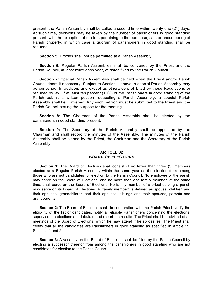present, the Parish Assembly shall be called a second time within twenty-one (21) days. At such time, decisions may be taken by the number of parishioners in good standing present, with the exception of matters pertaining to the purchase, sale or encumbering of Parish property, in which case a quorum of parishioners in good standing shall be required.

**Section 5:** Proxies shall not be permitted at a Parish Assembly.

**Section 6:** Regular Parish Assemblies shall be convened by the Priest and the Parish Council, at least twice each year, at dates fixed by the Parish Council.

**Section 7:** Special Parish Assemblies shall be held when the Priest and/or Parish Council deem it necessary. Subject to Section 1 above, a special Parish Assembly may be convened. In addition, and except as otherwise prohibited by these Regulations or required by law, if at least ten percent (10%) of the Parishioners in good standing of the Parish submit a written petition requesting a Parish Assembly, a special Parish Assembly shall be convened. Any such petition must be submitted to the Priest and the Parish Council stating the purpose for the meeting.

**Section 8:** The Chairman of the Parish Assembly shall be elected by the parishioners in good standing present.

**Section 9:** The Secretary of the Parish Assembly shall be appointed by the Chairman and shall record the minutes of the Assembly. The minutes of the Parish Assembly shall be signed by the Priest, the Chairman and the Secretary of the Parish Assembly.

#### **ARTICLE 32 BOARD OF ELECTIONS**

**Section 1:** The Board of Elections shall consist of no fewer than three (3) members elected at a Regular Parish Assembly within the same year as the election from among those who are not candidates for election to the Parish Council. No employee of the parish may serve on the Board of Elections, and no more than one family member, at the same time, shall serve on the Board of Elections. No family member of a priest serving a parish may serve on its Board of Elections. A "family member" is defined as spouse, children and their spouses, grandchildren and their spouses, siblings and their spouses, parents and grandparents.

**Section 2:** The Board of Elections shall, in cooperation with the Parish Priest, verify the eligibility of the list of candidates, notify all eligible Parishioners concerning the elections, supervise the elections and tabulate and report the results. The Priest shall be advised of all meetings of the Board of Elections, which he may attend if he so desires. The Priest shall certify that all the candidates are Parishioners in good standing as specified in Article 19, Sections 1 and 2.

**Section 3:** A vacancy on the Board of Elections shall be filled by the Parish Council by electing a successor therefor from among the parishioners in good standing who are not candidates for election to the Parish Council.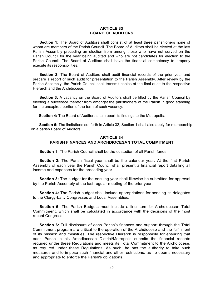#### **ARTICLE 33 BOARD OF AUDITORS**

**Section 1:** The Board of Auditors shall consist of at least three parishioners none of whom are members of the Parish Council. The Board of Auditors shall be elected at the last Parish Assembly preceding an election from among those who have not served on the Parish Council for the year being audited and who are not candidates for election to the Parish Council. The Board of Auditors shall have the financial competency to properly execute its responsibilities.

**Section 2:** The Board of Auditors shall audit financial records of the prior year and prepare a report of such audit for presentation to the Parish Assembly. After review by the Parish Assembly, the Parish Council shall transmit copies of the final audit to the respective Hierarch and the Archdiocese.

**Section 3:** A vacancy on the Board of Auditors shall be filled by the Parish Council by electing a successor therefor from amongst the parishioners of the Parish in good standing for the unexpired portion of the term of such vacancy.

**Section 4:** The Board of Auditors shall report its findings to the Metropolis.

**Section 5:** The limitations set forth in Article 32, Section 1 shall also apply for membership on a parish Board of Auditors.

# **ARTICLE 34 PARISH FINANCES AND ARCHDIOCESAN TOTAL COMMITMENT**

**Section 1:** The Parish Council shall be the custodian of all Parish funds.

**Section 2:** The Parish fiscal year shall be the calendar year. At the first Parish Assembly of each year the Parish Council shall present a financial report detailing all income and expenses for the preceding year.

**Section 3:** The budget for the ensuing year shall likewise be submitted for approval by the Parish Assembly at the last regular meeting of the prior year.

**Section 4:** The Parish budget shall include appropriations for sending its delegates to the Clergy-Laity Congresses and Local Assemblies.

**Section 5:** The Parish Budgets must include a line item for Archdiocesan Total Commitment, which shall be calculated in accordance with the decisions of the most recent Congress.

**Section 6:** Full disclosure of each Parish's finances and support through the Total Commitment program are critical to the operation of the Archdiocese and the fulfillment of its mission and ministries. The respective Hierarch is responsible for ensuring that each Parish in his Archdiocesan District/Metropolis submits the financial records required under these Regulations and meets its Total Commitment to the Archdiocese, as required under these Regulations. As such, he has the authority to take such measures and to impose such financial and other restrictions, as he deems necessary and appropriate to enforce the Parish's obligations.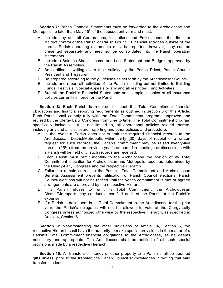**Section 7:** Parish Financial Statements must be forwarded to the Archdiocese and Metropolis no later than May  $15<sup>th</sup>$  of the subsequent year and must:

- A. Include any and all Corporations, Institutions and Entities under the direct or indirect control of the Parish or Parish Council. Financial activities outside of the normal Parish operating statements must be reported, however, they can be presented separately and need not be consolidated into the Parish operating statements.
- B. Include a Balance Sheet, Income and Loss Statement and Budgets approved by the Parish Assemblies.
- C. Be certified in writing as to their validity by the Parish Priest, Parish Council President and Treasurer.
- D. Be prepared according to the quidelines as set forth by the Archdiocesan Council.
- E. Include and report all activities of the Parish including but not limited to Building Funds, Festivals, Special Appeals or any and all restricted Fund Activities.
- F. Submit the Parish's Financial Statements and complete copies of all insurance policies currently in force for the Parish.

**Section 8:** Each Parish is required to meet the Total Commitment financial obligations and financial reporting requirements as outlined in Section 5 of this Article. Each Parish shall comply fully with the Total Commitment programs approved and revised by the Clergy Laity Congress from time to time. The Total Commitment program specifically includes, but is not limited to, all operational policies related thereto, including any and all disclosure, reporting and other policies and procedure.

- A. In the event a Parish does not submit the required financial records to the Archdiocesan District/Metropolis within thirty (30) days of receipt of a written request for such records, the Parish's commitment may be raised twenty-five percent (25%) from the previous year's amount. No meetings or discussions with a Parish will be held until such records are received.
- B. Each Parish must remit monthly to the Archdiocese the portion of its Total Commitment allocation for Archdiocesan and Metropolis needs as determined by the Clergy-Laity Congress and the respective Hierarch.
- C. Failure to remain current in the Parish's Total Commitment and Archdiocesan Benefits Assessment prevents ratification of Parish Council elections. Parish Council elections will not be ratified until the year's commitment is met or agreed arrangements are approved by the respective Hierarch.
- D. If a Parish refuses to remit its Total Commitment, the Archdiocesan District/Metropolis may conduct a certified audit of the Parish at the Parish's expense.
- E. If a Parish is delinquent in its Total Commitment to the Archdiocese for the prior year, the Parish's delegates will not be allowed to vote at the Clergy-Laity Congress unless authorized otherwise by the respective Hierarch, as specified in Article 4, Section 6.

**Section 9**: Notwithstanding the other provisions of Article 34, Section 5, the respective Hierarch shall have the authority to make special provisions in the matter of a Parish's Total Commitment financial obligations to the Archdiocese, as he deems necessary and appropriate. The Archdiocese shall be notified of all such special provisions made by a respective Hierarch.

**Section 10:** All transfers of money or other property to a Parish shall be deemed gifts unless, prior to the transfer, the Parish Council acknowledges in writing that said transfer is a loan.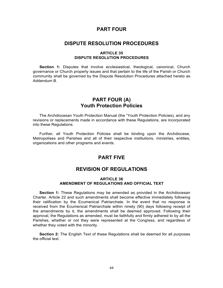# **PART FOUR**

# **DISPUTE RESOLUTION PROCEDURES**

#### **ARTICLE 35 DISPUTE RESOLUTION PROCEDURES**

**Section 1:** Disputes that involve ecclesiastical, theological, canonical, Church governance or Church property issues and that pertain to the life of the Parish or Church community shall be governed by the Dispute Resolution Procedures attached hereto as Addendum B.

# **PART FOUR (A) Youth Protection Policies**

The Archdiocesan Youth Protection Manual (the "Youth Protection Policies), and any revisions or replacements made in accordance with these Regulations, are incorporated into these Regulations.

Further, all Youth Protection Policies shall be binding upon the Archdiocese, Metropolises and Parishes and all of their respective institutions, ministries, entities, organizations and other programs and events.

# **PART FIVE**

# **REVISION OF REGULATIONS**

#### **ARTICLE 36 AMENDMENT OF REGULATIONS AND OFFICIAL TEXT**

**Section 1:** These Regulations may be amended as provided in the Archdiocesan Charter, Article 22 and such amendments shall become effective immediately following their ratification by the Ecumenical Patriarchate. In the event that no response is received from the Ecumenical Patriarchate within ninety (90) days following receipt of the amendments by it, the amendments shall be deemed approved. Following their approval, the Regulations as amended, must be faithfully and firmly adhered to by all the Parishes, whether or not they were represented at the Congress, and regardless of whether they voted with the minority.

**Section 2:** The English Text of these Regulations shall be deemed for all purposes the official text.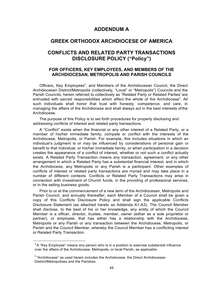# **ADDENDUM A**

# **GREEK ORTHODOX ARCHDIOCESE OF AMERICA**

# **CONFLICTS AND RELATED PARTY TRANSACTIONS DISCLOSURE POLICY ("Policy")**

# **FOR OFFICERS, KEY EMPLOYEES, AND MEMBERS OF THE ARCHDIOCESAN, METROPOLIS AND PARISH COUNCILS**

Officers, Key Employees<sup>2</sup>, and Members of the Archdiocesan Council, the Direct Archdiocesan District/Metropolis (collectively, "Local" or "Metropolis") Councils and the Parish Councils, herein referred to collectively as "Related Party or Related Parties"are entrusted with sacred responsibilities which affect the whole of the Archdiocese<sup>3</sup>. All such individuals shall honor that trust with honesty, competence, and care, in managing the affairs of the Archdiocese and shall always act in the best interests of the Archdiocese.

The purpose of this Policy is to set forth procedures for properly disclosing and addressing conflicts of interest and related party transactions.

A "Conflict" exists when the financial or any other interest of a Related Party, or a member of his/her immediate family, compete or conflict with the interests of the Archdiocese, Metropolis, or Parish. For example, this includes situations in which an individual's judgment is or may be influenced by considerations of personal gain or benefit to that individual, or his/her immediate family, or when participation in a decision creates the appearance of a conflict of interest, whether or not such a conflict actually exists. A Related Party Transaction means any transaction, agreement, or any other arrangement in which a Related Party has a substantial financial interest, and in which the Archdiocese, any Metropolis or any Parish is a participant. Other examples of conflicts of interest or related party transactions are myriad and may take place in a number of different contexts. Conflicts or Related Party Transactions may arise in connection with investment of Church funds, in the providing of professional services, or in the selling business goods.

Prior to or at the commencement of a new term of the Archdiocesan, Metropolis and Parish Council, and annually thereafter, each Member of a Council shall be given a copy of this Conflicts Disclosure Policy and shall sign the applicable Conflicts Disclosure Statement (as attached hereto as Addenda A1-A3). The Council Member shall disclose, to the best of his or her knowledge, any entity of which the Council Member is a officer, director, trustee, member, owner (either as a sole proprietor or partner), or employee, that has either has a relationship with the Archdiocese, Metropolis or any Parish or any transaction between the Archdiocese, Metropolis, or Parish and the Council Member, whereby the Council Member has a conflicting interest or Related Party Transaction.

 $2A$  "Key Employee" means any person who is in a position to exercise substantial influence over the affairs of the Archdiocese, Metropolis, or local Parish, as applicable.

 $3$  "Archdiocese" as used herein includes the Archdiocese, the Direct Archdiocesan District/Metropolises and the Parishes.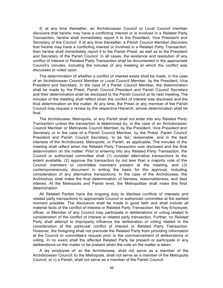If, at any time thereafter, an Archdiocesan Council or Local Council member discovers that he/she may have a conflicting interest or is involved in a Related Party Transaction, he/she shall immediately report it to the President, Vice President and Secretary of the Council. If at any time thereafter, a Parish Council Member discovers that he/she may have a conflicting interest or involved in a Related Party Transaction, then he/she shall immediately report it to the Parish Priest, as well as to the President and Secretary of the Parish Council. In all cases, the existence and resolution of any conflict of interest or Related Party Transaction shall be documented in the appropriate Council's minutes, including the minutes of any meeting at which the conflict was discussed or voted upon.

The determination of whether a conflict of interest exists shall be made, in the case of an Archdiocesan Council Member or Local Council Member, by the President, Vice President and Secretary. In the case of a Parish Council Member, the determination shall be made by the Priest, Parish Council President and Parish Council Secretary and their determination shall be disclosed to the Parish Council at its next meeting.The minutes of the meeting shall reflect when the conflict of interest was disclosed and the final determination on the matter. At any time, the Priest or any member of the Parish Council may request a review by the respective Hierarch, whose determination shall be final.

The Archdiocese, Metropolis, or any Parish shall not enter into any Related Party Transaction unless the transaction is determined by, in the case of an Archdiocesan Council Member or Metropolis Council Member, by the President, Vice President and Secretary or in the case of a Parish Council Member, by the Priest, Parish Council President and Parish Council Secretary, to be fair, reasonable, and in the best interests of the Archdiocese, Metropolis, or Parish, as applicable. The minutes of the meeting shall reflect when the Related Party Transaction was disclosed and the final determination on the matter. Prior to entering into any Related Party Transaction, the Council or authorized committee shall (1) consider alternative transactions to the extent available, (2) approve the transaction by not less than a majority vote of the Council members or committee members present at the meeting, and (3) contemporaneously document in writing the basis for the approval, including consideration of any alternative transactions. In the case of the Archdiocese, the Archbishop shall make the final determination of fairness, reasonableness, and best interest. At the Metropolis and Parish level, the Metropolitan shall make this final determination.

All Related Parties have the ongoing duty to disclose conflicts of interests and related party transactions to appropriate Council or authorized committee at the earliest moment possible. The disclosure shall be made in good faith and shall include all material facts of the conflict of interest or Related Party Transaction. No Key Employee, officer, or Member of any Council may participate in deliberations or voting related to consideration of the conflict of interest or related party transaction. Further, no Related Party shall attempt to improperly influence the deliberation or voting related to the consideration of the particular conflict of interest or Related Party Transaction. However, the foregoing shall not preclude the Related Party from providing information at the Council or committee's request prior to the commencement of deliberations or voting. In no event shall the affected Related Party be present or participate in any deliberations on the matter or be present when the vote on the matter is taken.

A lay employee of: a) the Archdiocese, shall not serve as a member of the Archdiocesan Council; b) the Metropolis, shall not serve as a member of the Metropolis Council; or c) a Parish, shall not serve as a member of the Parish Council.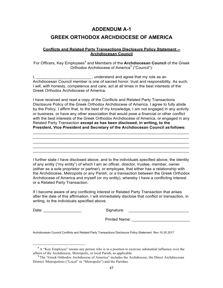# **ADDENDUM A-1 GREEK ORTHODOX ARCHDIOCESE OF AMERICA**

# **Conflicts and Related Party Transactions Disclosure Policy Statement -- Archdiocesan Council**

For Officers, Key Employees<sup>4</sup> and Members of the Archdiocesan Council of the Greek Orthodox Archdiocese of America<sup>5</sup> ("Council"):

I, \_\_\_\_\_\_\_\_\_\_\_\_\_\_\_\_\_\_\_\_\_\_\_\_\_\_\_\_\_\_, understand and agree that my role as an Archdiocesan Council member is one of sacred honor, trust and responsibility. As such, I will, with honesty, competence and care, act at all times in the best interests of the Greek Orthodox Archdiocese of America.

I have received and read a copy of the Conflicts and Related Party Transactions Disclosure Policy of the Greek Orthodox Archdiocese of America. I agree to fully abide by the Policy. I affirm that, to the best of my knowledge, I am not engaged in any activity or business, or have any other association that would pose a financial or other conflict with the best interests of the Greek Orthodox Archdiocese of America, or engaged in any Related Party Transaction **except as has been disclosed, in writing, to the President, Vice President and Secretary of the Archdiocesan Council as follows:**

 $\mathcal{L}_\text{max}$  , and the contribution of the contribution of the contribution of the contribution of the contribution of the contribution of the contribution of the contribution of the contribution of the contribution of t  $\mathcal{L}_\text{max}$  , and the contribution of the contribution of the contribution of the contribution of the contribution of the contribution of the contribution of the contribution of the contribution of the contribution of t \_\_\_\_\_\_\_\_\_\_\_\_\_\_\_\_\_\_\_\_\_\_\_\_\_\_\_\_\_\_\_\_\_\_\_\_\_\_\_\_\_\_\_\_\_\_\_\_\_\_\_\_\_\_\_\_\_\_\_\_\_\_\_\_\_\_\_\_\_\_  $\mathcal{L}_\text{max}$  , and the contribution of the contribution of the contribution of the contribution of the contribution of the contribution of the contribution of the contribution of the contribution of the contribution of t  $\mathcal{L}_\text{max}$  , and the contribution of the contribution of the contribution of the contribution of the contribution of the contribution of the contribution of the contribution of the contribution of the contribution of t

I further state I have disclosed above, and to the individuals specified above, the identity of any entity ("my entity") of which I am an officer, director, trustee, member, owner (either as a sole proprietor or partner), or employee, that either has a relationship with the Archdiocese, Metropolis or any Parish, or a transaction between the Greek Orthodox Archdiocese of America and myself (or my entity), whereby I have a conflicting interest or a Related Party Transaction.

If I become aware of any conflicting interest or Related Party Transaction that arises after the date of this affirmation, I will immediately disclose that conflict or transaction, in writing, to the individuals specified above.

Date: \_\_\_\_\_\_\_\_\_\_\_\_\_\_\_\_\_ Signature: \_\_\_\_\_\_\_\_\_\_\_\_\_\_\_\_\_\_\_\_\_\_\_\_\_\_\_

Printed Name: \_\_\_\_\_\_\_\_\_\_\_\_\_\_\_\_\_\_\_\_\_\_\_\_\_\_

Archdiocesan Council Conflicts and Related Party Transactions Disclosure Policy Statement. R*ev.10.20.2017*

<sup>&</sup>lt;sup>4</sup> A "Key Employee" means any person who is in a position to exercise substantial influence over the affairs of the Archdiocese, Metropolis, or local Parish, as applicable.<br><sup>5</sup>The "Greek Orthodox Archdiocese of America" includes the Archdiocese, the Direct Archdiocesan

District /Metropolises ("Local" or "Metropolis") and the Parishes.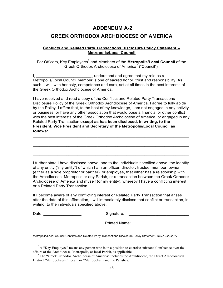# **ADDENDUM A-2 GREEK ORTHODOX ARCHDIOCESE OF AMERICA**

# **Conflicts and Related Party Transactions Disclosure Policy Statement -- Metropolis/Local Council**

For Officers, Key Employees<sup>6</sup> and Members of the **Metropolis/Local Council** of the Greek Orthodox Archdiocese of America<sup>7</sup> ("Council"):

I, \_\_\_\_\_\_\_\_\_\_\_\_\_\_\_\_\_\_\_\_\_\_\_\_\_\_\_\_, understand and agree that my role as a Metropolis/Local Council member is one of sacred honor, trust and responsibility. As such, I will, with honesty, competence and care, act at all times in the best interests of the Greek Orthodox Archdiocese of America.

I have received and read a copy of the Conflicts and Related Party Transactions Disclosure Policy of the Greek Orthodox Archdiocese of America. I agree to fully abide by the Policy. I affirm that, to the best of my knowledge, I am not engaged in any activity or business, or have any other association that would pose a financial or other conflict with the best interests of the Greek Orthodox Archdiocese of America, or engaged in any Related Party Transaction **except as has been disclosed, in writing, to the President, Vice President and Secretary of the Metropolis/Local Council as follows:**

\_\_\_\_\_\_\_\_\_\_\_\_\_\_\_\_\_\_\_\_\_\_\_\_\_\_\_\_\_\_\_\_\_\_\_\_\_\_\_\_\_\_\_\_\_\_\_\_\_\_\_\_\_\_\_\_\_\_\_\_\_\_\_\_\_\_\_\_\_\_ \_\_\_\_\_\_\_\_\_\_\_\_\_\_\_\_\_\_\_\_\_\_\_\_\_\_\_\_\_\_\_\_\_\_\_\_\_\_\_\_\_\_\_\_\_\_\_\_\_\_\_\_\_\_\_\_\_\_\_\_\_\_\_\_\_\_\_\_\_\_ \_\_\_\_\_\_\_\_\_\_\_\_\_\_\_\_\_\_\_\_\_\_\_\_\_\_\_\_\_\_\_\_\_\_\_\_\_\_\_\_\_\_\_\_\_\_\_\_\_\_\_\_\_\_\_\_\_\_\_\_\_\_\_\_\_\_\_\_\_\_ \_\_\_\_\_\_\_\_\_\_\_\_\_\_\_\_\_\_\_\_\_\_\_\_\_\_\_\_\_\_\_\_\_\_\_\_\_\_\_\_\_\_\_\_\_\_\_\_\_\_\_\_\_\_\_\_\_\_\_\_\_\_\_\_\_\_\_\_\_\_ \_\_\_\_\_\_\_\_\_\_\_\_\_\_\_\_\_\_\_\_\_\_\_\_\_\_\_\_\_\_\_\_\_\_\_\_\_\_\_\_\_\_\_\_\_\_\_\_\_\_\_\_\_\_\_\_\_\_\_\_\_\_\_\_\_\_\_\_\_\_

I further state I have disclosed above, and to the individuals specified above, the identity of any entity ("my entity") of which I am an officer, director, trustee, member, owner (either as a sole proprietor or partner), or employee, that either has a relationship with the Archdiocese, Metropolis or any Parish, or a transaction between the Greek Orthodox Archdiocese of America and myself (or my entity), whereby I have a conflicting interest or a Related Party Transaction.

If I become aware of any conflicting interest or Related Party Transaction that arises after the date of this affirmation, I will immediately disclose that conflict or transaction, in writing, to the individuals specified above.

Date: \_\_\_\_\_\_\_\_\_\_\_\_\_\_\_\_\_ Signature: \_\_\_\_\_\_\_\_\_\_\_\_\_\_\_\_\_\_\_\_\_\_\_\_\_\_\_

Printed Name: **Example 20** 

Metropolis/Local Council Conflicts and Related Party Transactions Disclosure Policy Statement. R*ev.10.20.2017*

 $6A$  "Key Employee" means any person who is in a position to exercise substantial influence over the affairs of the Archdiocese, Metropolis, or local Parish, as applicable.

<sup>&</sup>lt;sup>7</sup> The "Greek Orthodox Archdiocese of America" includes the Archdiocese, the Direct Archdiocesan District /Metropolises ("Local" or "Metropolis") and the Parishes.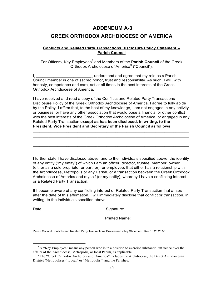# **ADDENDUM A-3**

# **GREEK ORTHODOX ARCHDIOCESE OF AMERICA**

# **Conflicts and Related Party Transactions Disclosure Policy Statement -- Parish Council**

For Officers, Key Employees<sup>8</sup> and Members of the Parish Council of the Greek Orthodox Archdiocese of America<sup>9</sup> ("Council"):

I, **I**, **EXECUTE:** I, understand and agree that my role as a Parish Council member is one of sacred honor, trust and responsibility. As such, I will, with honesty, competence and care, act at all times in the best interests of the Greek Orthodox Archdiocese of America.

I have received and read a copy of the Conflicts and Related Party Transactions Disclosure Policy of the Greek Orthodox Archdiocese of America. I agree to fully abide by the Policy. I affirm that, to the best of my knowledge, I am not engaged in any activity or business, or have any other association that would pose a financial or other conflict with the best interests of the Greek Orthodox Archdiocese of America, or engaged in any Related Party Transaction **except as has been disclosed, in writing, to the President, Vice President and Secretary of the Parish Council as follows:**

 $\mathcal{L}_\mathcal{L} = \mathcal{L}_\mathcal{L} = \mathcal{L}_\mathcal{L} = \mathcal{L}_\mathcal{L} = \mathcal{L}_\mathcal{L} = \mathcal{L}_\mathcal{L} = \mathcal{L}_\mathcal{L} = \mathcal{L}_\mathcal{L} = \mathcal{L}_\mathcal{L} = \mathcal{L}_\mathcal{L} = \mathcal{L}_\mathcal{L} = \mathcal{L}_\mathcal{L} = \mathcal{L}_\mathcal{L} = \mathcal{L}_\mathcal{L} = \mathcal{L}_\mathcal{L} = \mathcal{L}_\mathcal{L} = \mathcal{L}_\mathcal{L}$ \_\_\_\_\_\_\_\_\_\_\_\_\_\_\_\_\_\_\_\_\_\_\_\_\_\_\_\_\_\_\_\_\_\_\_\_\_\_\_\_\_\_\_\_\_\_\_\_\_\_\_\_\_\_\_\_\_\_\_\_\_\_\_\_\_\_\_\_\_\_ \_\_\_\_\_\_\_\_\_\_\_\_\_\_\_\_\_\_\_\_\_\_\_\_\_\_\_\_\_\_\_\_\_\_\_\_\_\_\_\_\_\_\_\_\_\_\_\_\_\_\_\_\_\_\_\_\_\_\_\_\_\_\_\_\_\_\_\_\_\_ \_\_\_\_\_\_\_\_\_\_\_\_\_\_\_\_\_\_\_\_\_\_\_\_\_\_\_\_\_\_\_\_\_\_\_\_\_\_\_\_\_\_\_\_\_\_\_\_\_\_\_\_\_\_\_\_\_\_\_\_\_\_\_\_\_\_\_\_\_\_ \_\_\_\_\_\_\_\_\_\_\_\_\_\_\_\_\_\_\_\_\_\_\_\_\_\_\_\_\_\_\_\_\_\_\_\_\_\_\_\_\_\_\_\_\_\_\_\_\_\_\_\_\_\_\_\_\_\_\_\_\_\_\_\_\_\_\_\_\_\_

I further state I have disclosed above, and to the individuals specified above, the identity of any entity ("my entity") of which I am an officer, director, trustee, member, owner (either as a sole proprietor or partner), or employee, that either has a relationship with the Archdiocese, Metropolis or any Parish, or a transaction between the Greek Orthodox Archdiocese of America and myself (or my entity), whereby I have a conflicting interest or a Related Party Transaction.

If I become aware of any conflicting interest or Related Party Transaction that arises after the date of this affirmation, I will immediately disclose that conflict or transaction, in writing, to the individuals specified above.

Date: \_\_\_\_\_\_\_\_\_\_\_\_\_\_\_\_\_ Signature: \_\_\_\_\_\_\_\_\_\_\_\_\_\_\_\_\_\_\_\_\_\_\_\_\_\_\_

| Signature: |  |
|------------|--|
|------------|--|

Printed Name: **Example 20** 

Parish Council Conflicts and Related Party Transactions Disclosure Policy Statement. R*ev.10.20.2017*

<sup>&</sup>lt;sup>8</sup> A "Key Employee" means any person who is in a position to exercise substantial influence over the affairs of the Archdiocese, Metropolis, or local Parish, as applicable.<br><sup>9</sup>The "Greek Orthodox Archdiocese of America" includes the Archdiocese, the Direct Archdiocesan

District /Metropolises ("Local" or "Metropolis") and the Parishes.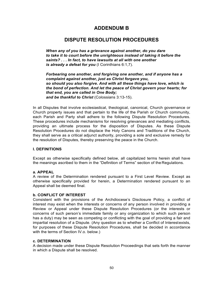# **ADDENDUM B**

# **DISPUTE RESOLUTION PROCEDURES**

*When any of you has a grievance against another, do you dare to take it to court before the unrighteous instead of taking it before the saints? . . . In fact, to have lawsuits at all with one another* is already a defeat for you (I Corinthians 6:1,7).

*Forbearing one another, and forgiving one another, and if anyone has a complaint against another, just as Christ forgave you, so should you also forgive. And with all these things have love, which is the bond of perfection. And let the peace of Christ govern your hearts; for that end, you are called in One Body; and be thankful to Christ* (Colossians 3:13-15).

In all Disputes that involve ecclesiastical, theological, canonical, Church governance or Church property issues and that pertain to the life of the Parish or Church community, each Parish and Party shall adhere to the following Dispute Resolution Procedures. These procedures include mechanisms for resolving grievances and mediating conflicts, providing an ultimate process for the disposition of Disputes. As these Dispute Resolution Procedures do not displace the Holy Canons and Traditions of the Church, they shall serve as a critical adjunct authority, providing a sole and exclusive remedy for the resolution of Disputes, thereby preserving the peace in the Church.

# **I. DEFINITIONS**

Except as otherwise specifically defined below, all capitalized terms herein shall have the meanings ascribed to them in the "Definition of Terms" section of the Regulations.

# **a. APPEAL**

A review of the Determination rendered pursuant to a First Level Review. Except as otherwise specifically provided for herein, a Determination rendered pursuant to an Appeal shall be deemed final.

# **b. CONFLICT OF INTEREST**

Consistent with the provisions of the Archdiocese's Disclosure Policy, a conflict of interest may exist when the interests or concerns of any person involved in providing a Review or Appeal under these Dispute Resolution Procedures (or the interests or concerns of such person's immediate family or any organization to which such person has a duty) may be seen as competing or conflicting with the goal of providing a fair and impartial resolution of a Dispute. (Any question as to whether a Conflict of Interestexists, for purposes of these Dispute Resolution Procedures, shall be decided in accordance with the terms of Section IV.o. below.)

# **c. DETERMINATION**

A decision made under these Dispute Resolution Proceedings that sets forth the manner in which a Dispute shall be resolved.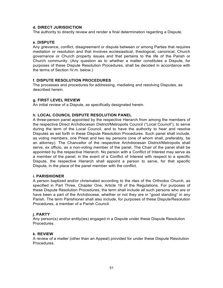# **d. DIRECT JURISDICTION**

The authority to directly review and render a final determination regarding a Dispute.

### **e. DISPUTE**

Any grievance, conflict, disagreement or dispute between or among Parties that requires mediation or resolution and that involves ecclesiastical, theological, canonical, Church governance or Church property issues and that pertains to the life of the Parish or Church community. (Any question as to whether a matter constitutes a Dispute, for purposes of these Dispute Resolution Procedures, shall be decided in accordance with the terms of Section IV.m. below.)

#### **f. DISPUTE RESOLUTION PROCEDURES**

The processes and procedures for addressing, mediating and resolving Disputes, as described herein.

# **g. FIRST LEVEL REVIEW**

An initial review of a Dispute, as specifically designated herein.

# **h. LOCAL COUNCIL DISPUTE RESOLUTION PANEL**

A three-person panel appointed by the respective Hierarch from among the members of the respective Direct Archdiocesan District/Metropolis Council ("Local Council"), to serve during the term of the Local Council, and to have the authority to hear and resolve Disputes as set forth in these Dispute Resolution Procedures. Such panel shall include, as voting members, one Priest and two lay persons (one of whom shall, preferably, be an attorney). The Chancellor of the respective Archdiocesan District/Metropolis shall serve, ex officio, as a non-voting member of the panel. The Chair of the panel shall be appointed by the respective Hierarch. No person with a Conflict of Interest may serve as a member of the panel; in the event of a Conflict of Interest with respect to a specific Dispute, the respective Hierarch shall appoint a person to serve, for that specific Dispute, in the place of the panel member with the conflict.

#### **i. PARISHIONER**

A person baptized and/or chrismated according to the rites of the Orthodox Church, as specified in Part Three, Chapter One, Article 18 of the Regulations. For purposes of these Dispute Resolution Procedures, the term shall include all such persons who are or have been a part of the Archdiocese, whether or not they are in "good standing" in any Parish. The term Parishioner shall also include, for purposes of these DisputeResolution Procedures, a member of a Parish Council.

# **j. PARTY**

Any person(s) and/or entity(ies) engaged in a Dispute under these Dispute Resolution Procedures.

# **k. REVIEW**

A review of a matter (other than an Appeal) provided for under these Dispute Resolution Procedures.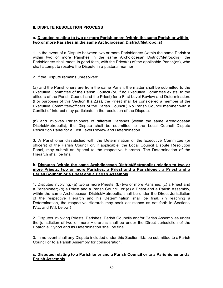# **II. DISPUTE RESOLUTION PROCESS**

# **a. Disputes relating to two or more Parishioners (within the same Parish or within two or more Parishes in the same Archdiocesan District/Metropolis)**

1. In the event of a Dispute between two or more Parishioners (within the same Parishor within two or more Parishes in the same Archdiocesan District/Metropolis), the Parishioners shall meet, in good faith, with the Priest(s) of the applicable Parish(es), who shall attempt to resolve the Dispute in a pastoral manner.

2. If the Dispute remains unresolved:

(a) and the Parishioners are from the same Parish, the matter shall be submitted to the Executive Committee of the Parish Council (or, if no Executive Committee exists, to the officers of the Parish Council and the Priest) for a First Level Review and Determination. (For purposes of this Section II.a.2.(a), the Priest shall be considered a member of the Executive Committee/officers of the Parish Council.) No Parish Council member with a Conflict of Interest may participate in the resolution of the Dispute.

(b) and involves Parishioners of different Parishes (within the same Archdiocesan District/Metropolis), the Dispute shall be submitted to the Local Council Dispute Resolution Panel for a First Level Review and Determination.

3. A Parishioner dissatisfied with the Determination of the Executive Committee (or officers) of the Parish Council or, if applicable, the Local Council Dispute Resolution Panel, may submit an Appeal to the respective Hierarch. The Determination of the Hierarch shall be final.

### **b. Disputes (within the same Archdiocesan District/Metropolis) relating to two or more Priests; two or more Parishes; a Priest and a Parishioner; a Priest and a Parish Council; or a Priest and a Parish Assembly**

1. Disputes involving: (a) two or more Priests; (b) two or more Parishes; (c) a Priest and a Parishioner; (d) a Priest and a Parish Council; or (e) a Priest and a Parish Assembly, within the same Archdiocesan District/Metropolis, shall be under the Direct Jurisdiction of the respective Hierarch and his Determination shall be final. (In reaching a Determination, the respective Hierarch may seek assistance as set forth in Sections IV.c. and IV.f. below.)

2. Disputes involving Priests, Parishes, Parish Councils and/or Parish Assemblies under the jurisdiction of two or more Hierarchs shall be under the Direct Jurisdiction of the Eparchial Synod and its Determination shall be final.

3. In no event shall any Dispute included under this Section II.b. be submitted to aParish Council or to a Parish Assembly for consideration.

# **c. Disputes relating to a Parishioner and a Parish Council or to a Parishioner anda Parish Assembly**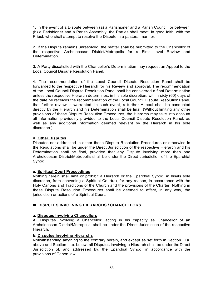1. In the event of a Dispute between (a) a Parishioner and a Parish Council; or between (b) a Parishioner and a Parish Assembly, the Parties shall meet, in good faith, with the Priest, who shall attempt to resolve the Dispute in a pastoral manner.

2. If the Dispute remains unresolved, the matter shall be submitted to the Chancellor of the respective Archdiocesan District/Metropolis for a First Level Review and Determination.

3. A Party dissatisfied with the Chancellor's Determination may request an Appeal to the Local Council Dispute Resolution Panel.

4. The recommendation of the Local Council Dispute Resolution Panel shall be forwarded to the respective Hierarch for his Review and approval. The recommendation of the Local Council Dispute Resolution Panel shall be considered a final Determination unless the respective Hierarch determines, in his sole discretion, within sixty (60) days of the date he receives the recommendation of the Local Council Dispute Resolution Panel, that further review is warranted. In such event, a further Appeal shall be conducted directly by the Hierarch and his Determination shall be final. (Without limiting any other provisions of these Dispute Resolution Procedures, the Hierarch may take into account all information previously provided to the Local Council Dispute Resolution Panel, as well as any additional information deemed relevant by the Hierarch in his sole discretion.)

# **d. Other Disputes**

Disputes not addressed in either these Dispute Resolution Procedures or otherwise in the Regulations shall be under the Direct Jurisdiction of the respective Hierarch and his Determination shall be final, provided that any Dispute involving more than one Archdiocesan District/Metropolis shall be under the Direct Jurisdiction of the Eparchial Synod.

# **e. Spiritual Court Proceedings**

Nothing herein shall limit or prohibit a Hierarch or the Eparchial Synod, in his/its sole discretion, from convening a Spiritual Court(s), for any reason, in accordance with the Holy Canons and Traditions of the Church and the provisions of the Charter. Nothing in these Dispute Resolution Procedures shall be deemed to affect, in any way, the jurisdiction or actions of a Spiritual Court.

# **III. DISPUTES INVOLVING HIERARCHS / CHANCELLORS**

# **a. Disputes Involving Chancellors**

All Disputes involving a Chancellor, acting in his capacity as Chancellor of an Archdiocesan District/Metropolis, shall be under the Direct Jurisdiction of the respective Hierarch.

# **b. Disputes Involving Hierarchs**

Notwithstanding anything to the contrary herein, and except as set forth in Section III.a. above and Section III.c. below, all Disputes involving a Hierarch shall be under the Direct Jurisdiction of, and addressed by, the Eparchial Synod, in accordance with the provisions of Canon law.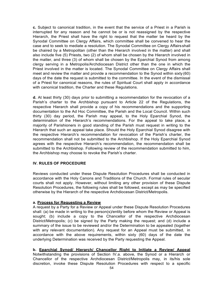**c.** Subject to canonical tradition, in the event that the service of a Priest in a Parish is interrupted for any reason and he cannot be or is not reassigned by the respective Hierarch, the Priest shall have the right to request that the matter be heard by the Synodal Committee on Clergy Affairs, which committee shall be convened to hear the case and to seek to mediate a resolution. The Synodal Committee on Clergy Affairs shall be chaired by a Metropolitan (other than the Hierarch involved in the matter) and shall also include five (5) Priests, two (2) of whom shall be chosen by the Hierarch involved in the matter, and three (3) of whom shall be chosen by the Eparchial Synod from among clergy serving in a Metropolis/Archdiocesan District other than the one in which the Priest involved in the matter is located. The Synodal Committee on Clergy Affairs shall meet and review the matter and provide a recommendation to the Synod within sixty (60) days of the date the request is submitted to the committee. In the event of the dismissal of a Priest for canonical reasons, the rules of Spiritual Court shall apply in accordance with canonical tradition, the Charter and these Regulations.

**d.** At least thirty (30) days prior to submitting a recommendation for the revocation of a Parish's charter to the Archbishop pursuant to Article 22 of the Regulations, the respective Hierarch shall provide a copy of his recommendations and the supporting documentation to the Ad Hoc Committee, the Parish and the Local Council. Within such thirty (30) day period, the Parish may appeal, to the Holy Eparchial Synod, the determination of the Hierarch's recommendations. For the appeal to take place, a majority of Parishioners in good standing of the Parish must request in writing to the Hierarch that such an appeal take place. Should the Holy Eparchial Synod disagree with the respective Hierarch's recommendation for revocation of the Parish's charter, the recommendation shall not be submitted to the Archbishop. If the Holy Eparchial Synod agrees with the respective Hierarch's recommendation, the recommendation shall be submitted to the Archbishop. Following review of the recommendation submitted to him, the Archbishop may choose to revoke the Parish's charter.

# **IV. RULES OF PROCEDURE**

Reviews conducted under these Dispute Resolution Procedures shall be conducted in accordance with the Holy Canons and Traditions of the Church. Formal rules of secular courts shall not apply. However, without limiting any other provision of these Dispute Resolution Procedures, the following rules shall be followed, except as may be specified otherwise by the Hierarch of the respective Archdiocesan District/Metropolis.

# **a. Process for Requesting a Review**

A request by a Party for a Review or Appeal under these Dispute Resolution Procedures shall: (a) be made in writing to the person(s)/entity before whom the Review or Appeal is sought; (b) include a copy to the Chancellor of the respective Archdiocesan District/Metropolis; (c) be signed by the Party making the request; and (d) include a summary of the issue to be reviewed and/or the Determination to be appealed (together with any relevant documentation). Any request for an Appeal must be submitted, in accordance with the above requirements, within sixty (60) days of the date the underlying Determination was received by the Party requesting the Appeal.

**b. Eparchial Synod/ Hierarch/ Chancellor Right to Initiate a Review/ Appeal** Notwithstanding the provisions of Section IV.a. above, the Synod or a Hierarch or Chancellor of the respective Archdiocesan District/Metropolis may, in its/his sole discretion, invoke these Dispute Resolution Procedures with respect to a specific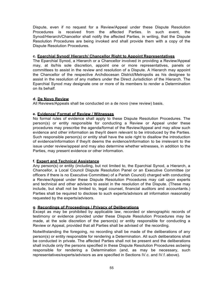Dispute, even if no request for a Review/Appeal under these Dispute Resolution Procedures is received from the affected Parties. In such event, the Synod/Hierarch/Chancellor shall notify the affected Parties, in writing, that the Dispute Resolution Procedures are being invoked and shall provide them with a copy of the Dispute Resolution Procedures.

### **c. Eparchial Synod/ Hierarch/ Chancellor Right to Appoint Representatives**

The Eparchial Synod, a Hierarch or a Chancellor involved in providing a Review/Appeal may, at its/his sole discretion, appoint one or more representatives, panels or committees to assist in the review and resolution of a Dispute. A Hierarch may appoint the Chancellor of the respective Archdiocesan District/Metropolis as his designee to assist in the resolution of any matters under the Direct Jurisdiction of the Hierarch. The Eparchial Synod may designate one or more of its members to render a Determination on its behalf.

#### **d. De Novo Review**

All Reviews/Appeals shall be conducted on a de novo (new review) basis.

#### **e. Evidence/ Format of Review / Witnesses**

No formal rules of evidence shall apply to these Dispute Resolution Procedures. The person(s) or entity responsible for conducting a Review or Appeal under these procedures may prescribe the agenda/format of the Review/Appeal and may allow such evidence and other information as they/it deem relevant to be introduced by the Parties. Such responsible person(s) or entity shall have the sole right to disallow the introduction of evidence/information if they/it deems the evidence/information to be irrelevant to the issue under review/appeal and may also determine whether witnesses, in addition to the Parties, may present evidence or other information.

# **f. Expert and Technical Assistance**

Any person(s) or entity (including, but not limited to, the Eparchial Synod, a Hierarch, a Chancellor, a Local Council Dispute Resolution Panel or an Executive Committee (or officers if there is no Executive Committee) of a Parish Council) charged with conducting a Review/Appeal under these Dispute Resolution Procedures may call upon experts and technical and other advisors to assist in the resolution of the Dispute. (These may include, but shall not be limited to, legal counsel, financial auditors and accountants.) Parties shall be required to disclose to such experts/advisors all information reasonably requested by the experts/advisors.

# **g. Recordings of Proceedings / Privacy of Deliberations**

Except as may be prohibited by applicable law, recorded or stenographic records of testimony or evidence provided under these Dispute Resolution Procedures may be made, at the sole discretion of the person(s) or entity responsible for conducting a Review or Appeal, provided that all Parties shall be advised of the recording.

Notwithstanding the foregoing, no recording shall be made of the deliberations of any person(s) or entity responsible for rendering a Determination. All such deliberations shall be conducted in private. The affected Parties shall not be present and the deliberations shall include only the persons specified in these Dispute Resolution Procedures asbeing responsible for rendering a Determination (and, as may be necessary, such representatives/experts/advisors as are specified in Sections IV.c. and IV.f. above).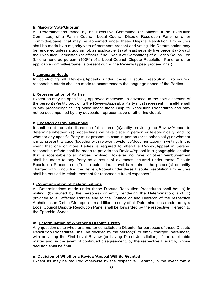# **h. Majority Vote/Quorum**

All Determinations made by an Executive Committee (or officers if no Executive Committee) of a Parish Council, Local Council Dispute Resolution Panel or other committee/panel that may be appointed under these Dispute Resolution Procedures shall be made by a majority vote of members present and voting. No Determination may be rendered unless a quorum of, as applicable: (a) at least seventy five percent (75%) of the Executive Committee (or officers if no Executive Committee) of a Parish Council; or (b) one hundred percent (100%) of a Local Council Dispute Resolution Panel or other applicable committee/panel is present during the Review/Appeal proceedings.)

# **i. Language Needs**

In conducting all Reviews/Appeals under these Dispute Resolution Procedures, reasonable efforts shall be made to accommodate the language needs of the Parties.

# **j. Representation of Parties**

Except as may be specifically approved otherwise, in advance, in the sole discretion of the person(s)/entity providing the Review/Appeal, a Party must represent himself/herself in any proceedings taking place under these Dispute Resolution Procedures and may not be accompanied by any advocate, representative or other individual.

# **k. Location of Review/Appeal**

It shall be at the sole discretion of the person(s)/entity providing the Review/Appeal to determine whether: (a) proceedings will take place in person or telephonically; and (b) whether any specific Party must present its case in person (or telephonically) or whether it may present its case (together with relevant evidence/documentation) in writing. In the event that one or more Parties is required to attend a Review/Appeal in person, reasonable efforts shall be made to provide the Review/Appeal in a geographic location that is acceptable to all Parties involved. However, no travel or other reimbursement shall be made to any Party as a result of expenses incurred under these Dispute Resolution Procedures. (To the extent that travel is required, the person(s) or entity charged with conducting the Review/Appeal under these Dispute Resolution Procedures shall be entitled to reimbursement for reasonable travel expenses.)

# **l. Communication of Determinations**

All Determinations made under these Dispute Resolution Procedures shall be: (a) in writing; (b) signed by the person(s) or entity rendering the Determination; and (c) provided to all affected Parties and to the Chancellor and Hierarch of the respective Archdiocesan District/Metropolis. In addition, a copy of all Determinations rendered by a Local Council Dispute Resolution Panel shall be forwarded by the respective Hierarch to the Eparchial Synod.

# **m. Determination of Whether a Dispute Exists**

Any question as to whether a matter constitutes a Dispute, for purposes of these Dispute Resolution Procedures, shall be decided by the person(s) or entity charged, hereunder, with providing the First Level Review (or having Direct Jurisdiction) of the applicable matter and, in the event of continued disagreement, by the respective Hierarch, whose decision shall be final.

# **n. Decision of Whether a Review/Appeal Will Be Granted**

Except as may be required otherwise by the respective Hierarch, in the event that a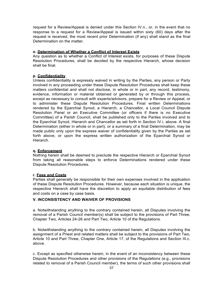request for a Review/Appeal is denied under this Section IV.n., or, in the event that no response to a request for a Review/Appeal is issued within sixty (60) days after the request is received, the most recent prior Determination (if any) shall stand as the final Determination on the matter.

#### **o. Determination of Whether a Conflict of Interest Exists**

Any question as to whether a Conflict of Interest exists, for purposes of these Dispute Resolution Procedures, shall be decided by the respective Hierarch, whose decision shall be final.

# **p. Confidentiality**

Unless confidentiality is expressly waived in writing by the Parties, any person or Party involved in any proceeding under these Dispute Resolution Procedures shall keep these matters confidential and shall not disclose, in whole or in part, any record, testimony, evidence, information or material obtained or generated by or through this process, except as necessary to consult with experts/advisors, prepare for a Review or Appeal, or to administer these Dispute Resolution Procedures. Final written Determinations rendered by the Eparchial Synod, a Hierarch, a Chancellor, a Local Council Dispute Resolution Panel or an Executive Committee (or officers if there is no Executive Committee) of a Parish Council, shall be published only to the Parties involved and to the Eparchial Synod, Hierarch and Chancellor as set forth in Section IV.i. above. A final Determination (either in whole or in part), or a summary of a final Determination, may be made public only upon the express waiver of confidentiality given by the Parties as set forth above, or upon the express written authorization of the Eparchial Synod or Hierarch.

# **q. Enforcement**

Nothing herein shall be deemed to preclude the respective Hierarch or Eparchial Synod from taking all reasonable steps to enforce Determinations rendered under these Dispute Resolution Procedures.

# **r. Fees and Costs**

Parties shall generally be responsible for their own expenses involved in the application of these Dispute Resolution Procedures. However, because each situation is unique, the respective Hierarch shall have the discretion to apply an equitable distribution of fees and costs on a case by case basis.

# **V. INCONSISTENCY AND WAIVER OF PROVISIONS**

a. Notwithstanding anything to the contrary contained herein, all Disputes involving the removal of a Parish Council member(s) shall be subject to the provisions of Part Three, Chapter Two, Articles 24-26 and Part Two, Article 10 of the Regulations.

b. Notwithstanding anything to the contrary contained herein, all Disputes involving the assignment of a Priest and related matters shall be subject to the provisions of Part Two, Article 10 and Part Three, Chapter One, Article 17, of the Regulations and Section III.c. above.

c. Except as specified otherwise herein, in the event of an inconsistency between these Dispute Resolution Procedures and other provisions of the Regulations (e.g., provisions related to removal of a Parish Council member), the terms of such other provisions shall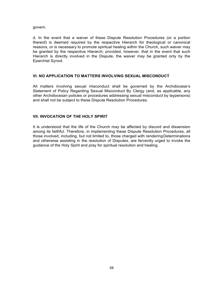govern.

d. In the event that a waiver of these Dispute Resolution Procedures (or a portion thereof) is deemed required by the respective Hierarch for theological or canonical reasons, or is necessary to promote spiritual healing within the Church, such waiver may be granted by the respective Hierarch; provided, however, that in the event that such Hierarch is directly involved in the Dispute, the waiver may be granted only by the Eparchial Synod.

# **VI. NO APPLICATION TO MATTERS INVOLVING SEXUAL MISCONDUCT**

All matters involving sexual misconduct shall be governed by the Archdiocese's Statement of Policy Regarding Sexual Misconduct By Clergy (and, as applicable, any other Archdiocesan policies or procedures addressing sexual misconduct by laypersons) and shall not be subject to these Dispute Resolution Procedures.

# **VII. INVOCATION OF THE HOLY SPIRIT**

It is understood that the life of the Church may be affected by discord and dissension among its faithful. Therefore, in implementing these Dispute Resolution Procedures, all those involved, including, but not limited to, those charged with renderingDeterminations and otherwise assisting in the resolution of Disputes, are fervently urged to invoke the guidance of the Holy Spirit and pray for spiritual resolution and healing.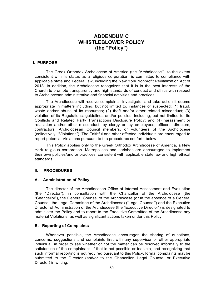# **ADDENDUM C WHISTLEBLOWER POLICY (the "Policy")**

#### **I. PURPOSE**

The Greek Orthodox Archdiocese of America (the "Archdiocese"), to the extent consistent with its status as a religious corporation, is committed to compliance with applicable state and Federal law, including the New York Nonprofit Revitalization Act of 2013. In addition, the Archdiocese recognizes that it is in the best interests of the Church to promote transparency and high standards of conduct and ethics with respect to Archdiocesan administrative and financial activities and practices.

The Archdiocese will receive complaints, investigate, and take action it deems appropriate in matters including, but not limited to, instances of suspected: (1) fraud, waste and/or abuse of its resources; (2) theft and/or other related misconduct; (3) violation of its Regulations, guidelines and/or policies, including, but not limited to, its Conflicts and Related Party Transactions Disclosure Policy; and (4) harassment or retaliation and/or other misconduct, by clergy or lay employees, officers, directors, contractors, Archdiocesan Council members, or volunteers of the Archdiocese (collectively, "Violations"). The Faithful and other affected individuals are encouraged to report potential Violations pursuant to the procedures set forth below.

This Policy applies only to the Greek Orthodox Archdiocese of America, a New York religious corporation. Metropolises and parishes are encouraged to implement their own policies/and or practices, consistent with applicable state law and high ethical standards.

#### **II. PROCEDURES**

#### **A. Administration of Policy**

The director of the Archdiocesan Office of Internal Assessment and Evaluation (the "Director"), in consultation with the Chancellor of the Archdiocese (the "Chancellor"), the General Counsel of the Archdiocese (or in the absence of a General Counsel, the Legal Committee of the Archdiocese) ("Legal Counsel") and the Executive Director of Administration of the Archdiocese (the "Executive Director") is designated to administer the Policy and to report to the Executive Committee of the Archdiocese any material Violations, as well as significant actions taken under this Policy

# **B. Reporting of Complaints**

Whenever possible, the Archdiocese encourages the sharing of questions, concerns, suggestions and complaints first with any supervisor or other appropriate individual, in order to see whether or not the matter can be resolved informally to the satisfaction of the complainant. If that is not possible or feasible, and recognizing that such informal reporting is not required pursuant to this Policy, formal complaints maybe submitted to the Director (and/or to the Chancellor, Legal Counsel or Executive Director) in writing.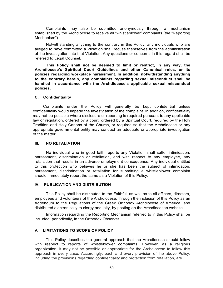Complaints may also be submitted anonymously through a mechanism established by the Archdiocese to receive all "whistleblower" complaints (the "Reporting Mechanism").

Notwithstanding anything to the contrary in this Policy, any individuals who are alleged to have committed a Violation shall recuse themselves from the administration of the investigation into that Violation. Any questions or concerns in this regard shall be referred to Legal Counsel.

**This Policy shall not be deemed to limit or restrict, in any way, the Archdiocese's Spiritual Court Guidelines and other Canonical rules, or its policies regarding workplace harassment. In addition, notwithstanding anything to the contrary herein, any complaints regarding sexual misconduct shall be handled in accordance with the Archdiocese's applicable sexual misconduct policies.**

#### **C. Confidentiality**

Complaints under the Policy will generally be kept confidential unless confidentiality would impede the investigation of the complaint. In addition, confidentiality may not be possible where disclosure or reporting is required pursuant to any applicable law or regulation, ordered by a court, ordered by a Spiritual Court, required by the Holy Tradition and Holy Canons of the Church, or required so that the Archdiocese or any appropriate governmental entity may conduct an adequate or appropriate investigation of the matter.

#### **III. NO RETALIATION**

No individual who in good faith reports any Violation shall suffer intimidation, harassment, discrimination or retaliation, and with respect to any employee, any retaliation that results in an adverse employment consequence. Any individual entitled to this protection who believes he or she has been the subject of intimidation, harassment, discrimination or retaliation for submitting a whistleblower complaint should immediately report the same as a Violation of this Policy.

### **IV. PUBLICATION AND DISTRIBUTION**

This Policy shall be distributed to the Faithful, as well as to all officers, directors, employees and volunteers of the Archdiocese, through the inclusion of this Policy as an Addendum to the Regulations of the Greek Orthodox Archdiocese of America, and distributed electronically to clergy and laity, by posting on the Archdiocesan website.

Information regarding the Reporting Mechanism referred to in this Policy shall be included, periodically, in the Orthodox Observer.

# **V. LIMITATIONS TO SCOPE OF POLICY**

This Policy describes the general approach that the Archdiocese should follow with respect to reports of whistleblower complaints. However, as a religious organization, it may not be possible or appropriate for the Archdiocese to follow this approach in every case. Accordingly, each and every provision of the above Policy, including the provisions regarding confidentiality and protection from retaliation, are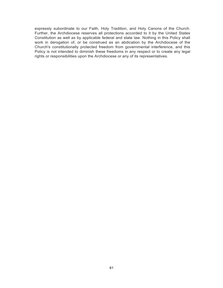expressly subordinate to our Faith, Holy Tradition, and Holy Canons of the Church. Further, the Archdiocese reserves all protections accorded to it by the United States Constitution as well as by applicable federal and state law. Nothing in this Policy shall work in derogation of, or be construed as an abdication by the Archdiocese of the Church's constitutionally protected freedom from governmental interference, and this Policy is not intended to diminish these freedoms in any respect or to create any legal rights or responsibilities upon the Archdiocese or any of its representatives.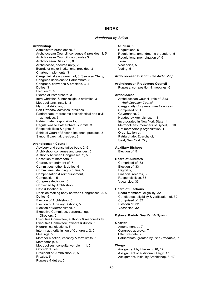# **INDEX**

# *Numbered by Article*

# **Archbishop**

Administers Archdiocese, 3 Archdiocesan Council, convenes & presides, 3, 5 Archdiocesan Council, coordinates 3 Archdiocesan District, 3, 8 Archdiocese, secures unity, 2 Boards of major institutions, presides, 3 Charter, implements, 3 Clergy, initial assignment of, 3. See also Clergy Congress decisions to Patriarchate, 3 Congress, convenes & presides, 3, 4 Duties, 3 Election of, 5 Exarch of Patriarchate, 3 Intra-Christian & inter-religious activities, 3 Metropolitans, installs, 3 Myron, distributes, 3 Pan-Orthodox activities, presides, 3 Patriarchate, represents ecclesiastical and civil authorities, 3 Patriarchate, responsible to, 3 Regulations to Patriarchate, submits, 3 Responsibilities & rights, 3 Spiritual Court of Second Instance, presides, 3 Synod, Eparchial, presides, 3

## **Archdiocesan Council**

Advisory and consultative body, 2, 5 Archbishop, convenes and presides, 5 Authority between Congresses, 2, 5 Cessation of members, 5 Charter, amendment of, 7 Committees, other & duties, 5 Committees, standing & duties, 5 Compensation & reimbursement, 5 Composition, 5 Congress decisions, 5 Convened by Archbishop, 5 Date & location, 5 Decision making body between Congresses, 2, 5 Duties, 5 Election of Archbishop, 5 Election of Auxiliary Bishops, 5 Election of Metropolitans, 5 Executive Committee, corporate legal Directors, 5 Executive Committee, authority & responsibility, 5 Executive Committee, officers & duties, 5 Hierarchical elections, 5 Interim authority in lieu of Congress, 2, 5 Meetings, 5 Member election, vacancy & term limits, 5 Membership, 5 Metropolises, consultative role in, 1, 5 Officers' duties, 5 President of, Archbishop, 3, 5 Proxies, 5 Purpose & duties, 5

Quorum, 5 Regulations, 5 Regulations, amendments procedure, 5 Regulations, promulgation of, 5 Term, 5 Vacancies, 5 Voting, 5

### **Archdiocesan District**. *See Archbishop*

## **Archdiocesan Presbyters Council**

Purpose, composition & meetings, 6

### **Archdiocese**

Archdiocesan Council, role of. *See Archdiocesan Council* Clergy-Laity Congress. *See Congress* Comprised of, 1 Governance, 2 Headed by Archbishop, 1, 3 Incorporated in New York State, 1 Metropolitans, members of Synod, 8, 10 Not membership organization, 1 Organization of, 1 Patriarchate, Eparchy of, 1 Seat, New York City, 1

## **Auxiliary Bishops**

Election of, 5

# **Board of Auditors**

Comprised of, 33 Election of, 33 Eligibility, 33 Financial records, 33 Responsibilities, 33 Vacancies, 33

### **Board of Elections**

Board members, eligibility, 32 Candidates, eligibility & verification of, 32 Comprised of, 32 Election of, 32 Vacancies, 32

**Bylaws, Parish.** *See Parish Bylaws*

#### **Charter**

Amendment of, 7 Congress approval, 7 Effective date, 7 Patriarchate, granted by. *See Preamble, 7*

# **Clergy**

Assignment by Hierarch, 10, 17 Assignment of additional Clergy, 17 Assignment, initial by Archbishop, 3, 17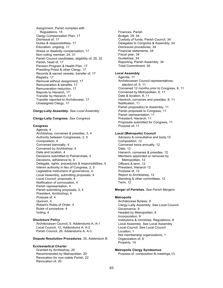Assignment, Parish complies with Regulations, 15 Clergy Compensation Plan, 17 Dismissal of, 17 Duties & responsibilities, 17 Education, ongoing, 17 Illness or disability compensation, 17 Non-voting member, 24, 31 Parish Council candidates, eligibility of, 25, 32 Parish, head of, 17 Pension Program & Health Plan, 17 Presiding Priest & other Clergy, 17 Records & sacred vessels, transfer of, 17 Registry, 17 Removal without assignment, 17 Remuneration & benefits, 17 Remuneration reduction, 17 Reports to Hierarch, 17 Transfer by Hierarch, 17 Transfer reported to Archdiocese, 17 Unassigned Clergy, 17

## **Clergy-Laity Assembly.** *See Local Assembly*

## **Clergy-Laity Congress**. *See Congress*

# **Congress**

Agenda, 4 Archbishop, convenes & presides, 3, 4 Authority between Congresses, 2, 5 Composition, 4 Convened biennially, 4 Convened by Archbishop, 4 Date and location, 4 Decisions submitted to Patriarchate, 4 Decisions, adherence to, 4 Delegate, rights, procedures & responsibilities, 4 Interim authority in lieu of Congress, 2, 5 Legislative instrument of governance, 4 Local Assembly, submitting proposals, 4 Local Council, proposals, 4 Notification of convocation, 4 Parish representation, 4 Parish submitting proposals, 3, 4 President, Archbishop, 4 Purpose of, 4 Quorum, 4 Robert's Rules of Order, 4 Rules of procedure, 4 Voting, 4

## **Disclosure Policy**

Archdiocesan Council, 5, Addendums A, A-1 Local Council, 12, Addendums A, A-2 Parish Council, 26, Addendums A, A-3

**Dispute Resolution Procedures**, 35, Addendum B

## **Ecclesiastical Charter**

Granted by Archbishop, 20 Recommended by Metropolitan, 20 Revocation for non-viable Parish, 22 Revocation of, 20

Finances, Parish Budget, 29, 34 Custody of funds, Parish Council, 34 Delegates to Congress & Assembly, 34 Disclosure procedures, 34 Financial statements, 34 Fiscal year, 34 Guidelines, 34 Reporting, Parish Assembly, 34 Total Commitment, 34

#### **Local Assembly**

Agenda, 11 Archdiocesan Council representatives, election of, 5, 11 Convened 12 months prior to Congress, 8, 11 Convened by Metropolitan, 8, 11 Date & location, 8, 11 Hierarch, convenes and presides, 8, 11 Notification, 11 Parish proposal(s) to Assembly, 11 Parish proposals to Congress, 11 Parish representation, 11 President, Hierarch, 11 Proposals submitted for Congress, 11 Purpose of, 11

#### **Local (Metropolis) Council**

Advisory & consultative and body,12 Composition, 12 Convened twice annually, 12 Date, 12 Hierarch, convenes & presides, 12 Members appointed or removed by Metropolitan, 12 Officers & term, 12 President, Hierarch 12 Purpose of, 12 Report to Archbishop, 12 Standing & other committees, 12 Term, 12

## **Merger of Parishes.** *See Parish Mergers*

## **Metropolis**

Archdiocese Bylaws, 9 Clergy-Laity Assembly. See Local Council Governance, 9 Headed by Metropolitan, 8 Incorporation, 9 Institutions & ministries, Regulations, 8 Local Assembly. See Local Assembly Local Council. See Local Council Location, 1 Not membership organizations, 1 Organization of, 8 Property, 14

# **Metropolis Clergy Syndesmos**

Purpose of, composition & meetings,13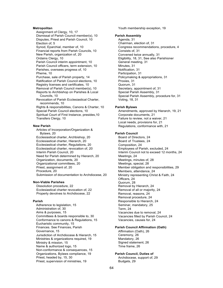# **Metropolitan**

Assignment of Clergy, 10, 17 Dismissal of Parish Council member(s), 10 Disputes, Priest and Parish Council, 10 Election of, 5 Synod, Eparchial, member of, 10 Financial reports from Parish Councils, 10 New Parish, organization of, 20 Ordains Clergy, 10 Parish Council interim appointment, 10 Parish Council officers, term extension, 10 Parishes, oversees progress of, 10 Pheme, 10 Purchase, sale of Parish property, 14 Ratification of Parish Council elections, 10 Registry licenses and certificates, 10 Removal of Parish Council member(s), 10 Reports to Archbishop on Parishes & Local Councils, 10 Revocation of Parish Ecclesiastical Charter, recommends, 10 Rights & responsibilities, Canons & Charter, 10 Special Parish Council elections, 10 Spiritual Court of First Instance, presides,10 Transfers Clergy, 10

# **New Parish**

Articles of Incorporation/Organization & Bylaws, 20 Ecclesiastical charter, Archbishop, 20 Ecclesiastical charter, Hierarch, 20 Ecclesiastical charter, Regulations, 20 Ecclesiastical charter, revocation of, 20 Interim Parish Council, 20 Need for Parish determined by Hierarch, 20 Organization, documents, 20 Organizational committees, 20 Priest, assignment of, 20 Procedure, 20 Submission of documentation to Archdiocese, 20

#### **Non-Viable Parishes**

Dissolution procedure, 22 Ecclesiastical charter revocation of, 22 Property devolves to Archdiocese, 22

# **Parish**

Adherence to legislation, 15 Administration of, 30 Aims & purposes, 15 Committees & boards responsible to, 30 Conformance to canons & Regulations, 15 Eucharistic community, 15 Finances. See Finances, Parish Governance, 15 Jurisdiction of Archdiocese & Hierarch, 15 Ministries & organizations required, 19 Ministry & mission, 15 Name & authorized logo, 15 Non-conformance & consequences, 15 Organizations, Bylaws compliance, 19 Priest, headed by, 15, 30 Priest, supervision of ministries, 19

Youth membership exception, 19

## **Parish Assembly**

Agenda, 31 Chairman, election of, 31 Congress recommendations, procedure, 4 Consists of, 31 Convened twice annually, 31 Eligibility, 18, 31, See also Parishioner General meeting, 31 Minutes, 31 Notification, 31 Participation, 31 Policymaking & appropriations, 31 Proxies, 31 Quorum, 31 Secretary, appointment of, 31 Special Parish Assembly, 31 Special Parish Assembly, procedure for, 31 Voting, 18, 31

#### **Parish Bylaws**

Amendments, approved by Hierarch, 19, 21 Corporate documents, 21 Failure to review, not a waiver, 21 Local needs, provisions for, 21 Regulations, conformance with, 21

### **Parish Council**

Board of Directors, 24 Board of Trustees, 24 Composition, 24 Employees of Parish, excluded, 24 Interim Council not to exceed 12 months, 24 Meetings, 24 Meetings, minutes of, 28 Meetings, special, 28 Member obligation and responsibilities, 29 Members, attendance, 24 Ministry representing Christ & Faith, 24 Officers, 24 Quorum, 28 Removal by Hierarch, 24 Removal of all or majority, 24 Removal, reasons, 24 Removal procedure, 24 Responsible to Hierarch, 24 Seminar, mandatory, 25 Term, 24 Vacancies due to removal, 24 Vacancies filled by Parish Council, 24 Vacancies, causes for, 24

# **Parish Council Affirmation (Oath)**

Affirmation (Oath), 26 Ceremony, 26 Mandatory, 26 Signed statement, 26 Time frame, 26

# **Parish Council, Duties of**

Archdiocese, support of, 29 Budgets, 29